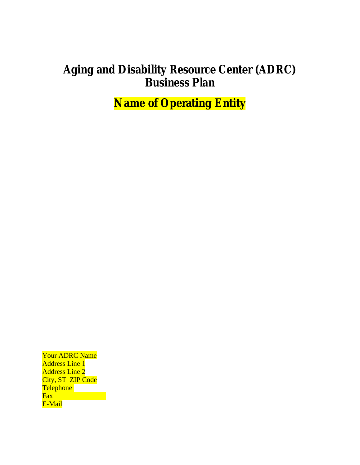# **Aging and Disability Resource Center (ADRC) Business Plan**

**Name of Operating Entity** 

Your ADRC Name Address Line 1 Address Line 2 City, ST ZIP Code Telephone Fax E-Mail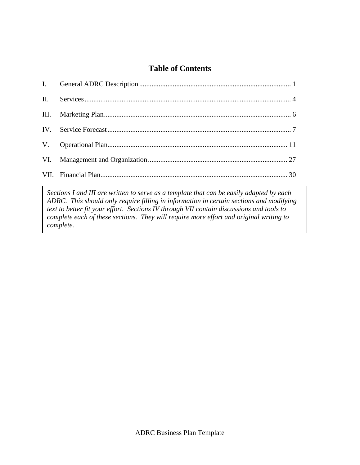# **Table of Contents**

*Sections I and III are written to serve as a template that can be easily adapted by each ADRC. This should only require filling in information in certain sections and modifying text to better fit your effort. Sections IV through VII contain discussions and tools to complete each of these sections. They will require more effort and original writing to complete.*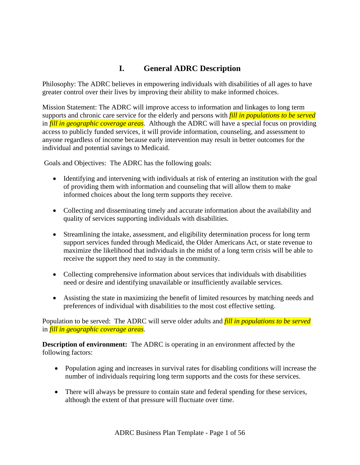# **I. General ADRC Description**

Philosophy: The ADRC believes in empowering individuals with disabilities of all ages to have greater control over their lives by improving their ability to make informed choices.

Mission Statement: The ADRC will improve access to information and linkages to long term supports and chronic care service for the elderly and persons with *fill in populations to be served* in *fill in geographic coverage areas*. Although the ADRC will have a special focus on providing access to publicly funded services, it will provide information, counseling, and assessment to anyone regardless of income because early intervention may result in better outcomes for the individual and potential savings to Medicaid.

Goals and Objectives: The ADRC has the following goals:

- Identifying and intervening with individuals at risk of entering an institution with the goal of providing them with information and counseling that will allow them to make informed choices about the long term supports they receive.
- Collecting and disseminating timely and accurate information about the availability and quality of services supporting individuals with disabilities.
- Streamlining the intake, assessment, and eligibility determination process for long term support services funded through Medicaid, the Older Americans Act, or state revenue to maximize the likelihood that individuals in the midst of a long term crisis will be able to receive the support they need to stay in the community.
- Collecting comprehensive information about services that individuals with disabilities need or desire and identifying unavailable or insufficiently available services.
- Assisting the state in maximizing the benefit of limited resources by matching needs and preferences of individual with disabilities to the most cost effective setting.

Population to be served: The ADRC will serve older adults and *fill in populations to be served* in *fill in geographic coverage areas*.

**Description of environment:** The ADRC is operating in an environment affected by the following factors:

- Population aging and increases in survival rates for disabling conditions will increase the number of individuals requiring long term supports and the costs for these services.
- There will always be pressure to contain state and federal spending for these services, although the extent of that pressure will fluctuate over time.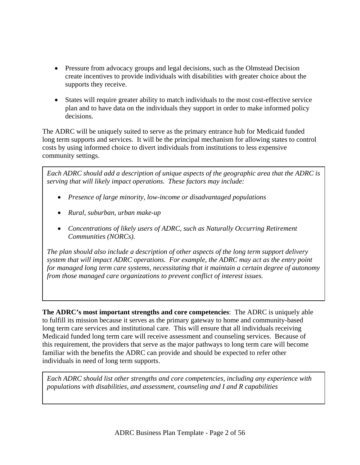- Pressure from advocacy groups and legal decisions, such as the Olmstead Decision create incentives to provide individuals with disabilities with greater choice about the supports they receive.
- States will require greater ability to match individuals to the most cost-effective service plan and to have data on the individuals they support in order to make informed policy decisions.

The ADRC will be uniquely suited to serve as the primary entrance hub for Medicaid funded long term supports and services. It will be the principal mechanism for allowing states to control costs by using informed choice to divert individuals from institutions to less expensive community settings.

*Each ADRC should add a description of unique aspects of the geographic area that the ADRC is serving that will likely impact operations. These factors may include:* 

- *Presence of large minority, low-income or disadvantaged populations*
- *Rural, suburban, urban make-up*
- *Concentrations of likely users of ADRC, such as Naturally Occurring Retirement Communities (NORCs).*

*The plan should also include a description of other aspects of the long term support delivery system that will impact ADRC operations. For example, the ADRC may act as the entry point for managed long term care systems, necessitating that it maintain a certain degree of autonomy from those managed care organizations to prevent conflict of interest issues.* 

**The ADRC's most important strengths and core competencies**: The ADRC is uniquely able to fulfill its mission because it serves as the primary gateway to home and community-based long term care services and institutional care. This will ensure that all individuals receiving Medicaid funded long term care will receive assessment and counseling services. Because of this requirement, the providers that serve as the major pathways to long term care will become familiar with the benefits the ADRC can provide and should be expected to refer other individuals in need of long term supports.

*Each ADRC should list other strengths and core competencies, including any experience with populations with disabilities, and assessment, counseling and I and R capabilities*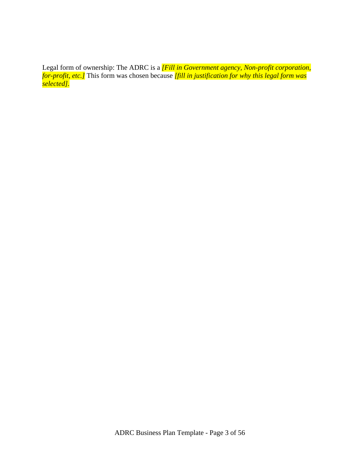Legal form of ownership: The ADRC is a *[Fill in Government agency, Non-profit corporation, for-profit, etc.]* This form was chosen because *[fill in justification for why this legal form was selected].*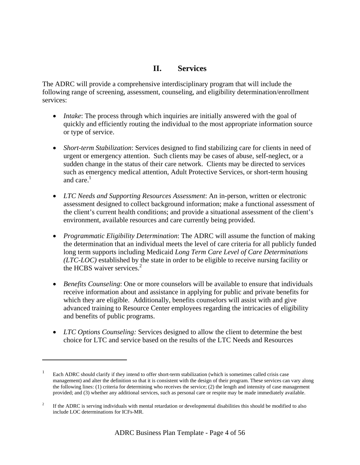## **II. Services**

The ADRC will provide a comprehensive interdisciplinary program that will include the following range of screening, assessment, counseling, and eligibility determination/enrollment services:

- *Intake*: The process through which inquiries are initially answered with the goal of quickly and efficiently routing the individual to the most appropriate information source or type of service.
- *Short-term Stabilization*: Services designed to find stabilizing care for clients in need of urgent or emergency attention. Such clients may be cases of abuse, self-neglect, or a sudden change in the status of their care network. Clients may be directed to services such as emergency medical attention, Adult Protective Services, or short-term housing and care. $<sup>1</sup>$ </sup>
- *LTC Needs and Supporting Resources Assessment*: An in-person, written or electronic assessment designed to collect background information; make a functional assessment of the client's current health conditions; and provide a situational assessment of the client's environment, available resources and care currently being provided.
- *Programmatic Eligibility Determination*: The ADRC will assume the function of making the determination that an individual meets the level of care criteria for all publicly funded long term supports including Medicaid *Long Term Care Level of Care Determinations (LTC-LOC)* established by the state in order to be eligible to receive nursing facility or the HCBS waiver services.<sup>2</sup>
- *Benefits Counseling*: One or more counselors will be available to ensure that individuals receive information about and assistance in applying for public and private benefits for which they are eligible. Additionally, benefits counselors will assist with and give advanced training to Resource Center employees regarding the intricacies of eligibility and benefits of public programs.
- *LTC Options Counseling:* Services designed to allow the client to determine the best choice for LTC and service based on the results of the LTC Needs and Resources

 $\overline{\phantom{a}}$ 

<sup>1</sup> Each ADRC should clarify if they intend to offer short-term stabilization (which is sometimes called crisis case management) and alter the definition so that it is consistent with the design of their program. These services can vary along the following lines: (1) criteria for determining who receives the service; (2) the length and intensity of case management provided; and (3) whether any additional services, such as personal care or respite may be made immediately available.

<sup>2</sup> If the ADRC is serving individuals with mental retardation or developmental disabilities this should be modified to also include LOC determinations for ICFs-MR.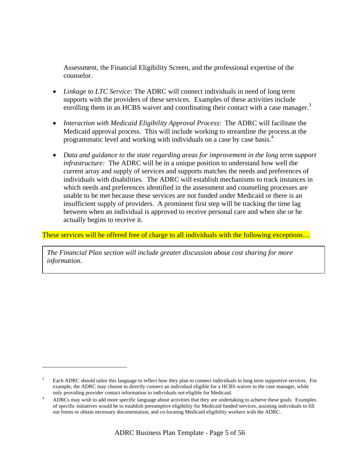Assessment, the Financial Eligibility Screen, and the professional expertise of the counselor.

- *Linkage to LTC Service*: The ADRC will connect individuals in need of long term supports with the providers of these services. Examples of these activities include enrolling them in an HCBS waiver and coordinating their contact with a case manager.<sup>3</sup>
- *Interaction with Medicaid Eligibility Approval Process*: The ADRC will facilitate the Medicaid approval process. This will include working to streamline the process at the programmatic level and working with individuals on a case by case basis.<sup>4</sup>
- *Data and guidance to the state regarding areas for improvement in the long term support infrastructure:* The ADRC will be in a unique position to understand how well the current array and supply of services and supports matches the needs and preferences of individuals with disabilities. The ADRC will establish mechanisms to track instances in which needs and preferences identified in the assessment and counseling processes are unable to be met because these services are not funded under Medicaid or there is an insufficient supply of providers. A prominent first step will be tracking the time lag between when an individual is approved to receive personal care and when she or he actually begins to receive it.

These services will be offered free of charge to all individuals with the following exceptions...

*The Financial Plan section will include greater discussion about cost sharing for more information.* 

 $\overline{\phantom{a}}$ 

<sup>3</sup> Each ADRC should tailor this language to reflect how they plan to connect individuals to long term supportive services. For example, the ADRC may choose to directly connect an individual eligible for a HCBS waiver to the case manager, while only providing provider contact information to individuals not eligible for Medicaid.

ADRCs may wish to add more specific language about activities that they are undertaking to achieve these goals. Examples of specific initiatives would be to establish presumptive eligibility for Medicaid funded services, assisting individuals to fill out forms or obtain necessary documentation, and co-locating Medicaid eligibility workers with the ADRC.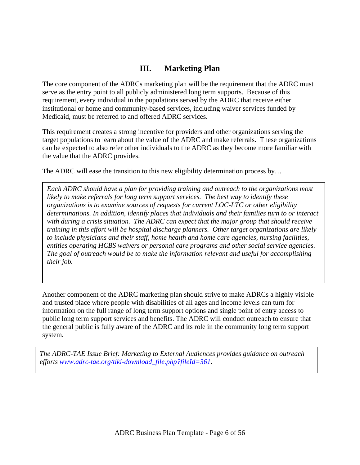# **III. Marketing Plan**

The core component of the ADRCs marketing plan will be the requirement that the ADRC must serve as the entry point to all publicly administered long term supports. Because of this requirement, every individual in the populations served by the ADRC that receive either institutional or home and community-based services, including waiver services funded by Medicaid, must be referred to and offered ADRC services.

This requirement creates a strong incentive for providers and other organizations serving the target populations to learn about the value of the ADRC and make referrals. These organizations can be expected to also refer other individuals to the ADRC as they become more familiar with the value that the ADRC provides.

The ADRC will ease the transition to this new eligibility determination process by...

*Each ADRC should have a plan for providing training and outreach to the organizations most likely to make referrals for long term support services. The best way to identify these organizations is to examine sources of requests for current LOC-LTC or other eligibility determinations. In addition, identify places that individuals and their families turn to or interact with during a crisis situation. The ADRC can expect that the major group that should receive training in this effort will be hospital discharge planners. Other target organizations are likely to include physicians and their staff, home health and home care agencies, nursing facilities, entities operating HCBS waivers or personal care programs and other social service agencies. The goal of outreach would be to make the information relevant and useful for accomplishing their job.* 

Another component of the ADRC marketing plan should strive to make ADRCs a highly visible and trusted place where people with disabilities of all ages and income levels can turn for information on the full range of long term support options and single point of entry access to public long term support services and benefits. The ADRC will conduct outreach to ensure that the general public is fully aware of the ADRC and its role in the community long term support system.

*Service Forecast efforts www.adrc-tae.org/tiki-download\_file.php?fileId=361. The ADRC-TAE Issue Brief: Marketing to External Audiences provides guidance on outreach*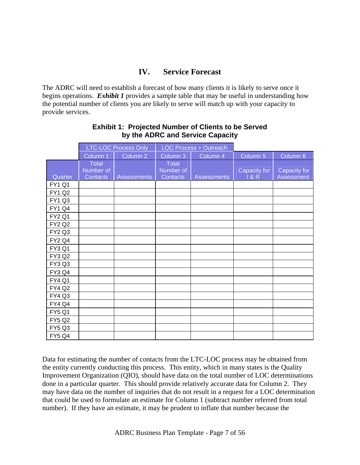# **IV. Service Forecast**

The ADRC will need to establish a forecast of how many clients it is likely to serve once it begins operations. *Exhibit 1* provides a sample table that may be useful in understanding how the potential number of clients you are likely to serve will match up with your capacity to provide services.

|               |                                              | <b>LTC-LOC Process Only</b> |                                              | <b>LOC Process + Outreach</b> |                     |                                   |
|---------------|----------------------------------------------|-----------------------------|----------------------------------------------|-------------------------------|---------------------|-----------------------------------|
|               | Column 1                                     | Column <sub>2</sub>         | Column 3                                     | Column 4                      | Column 5            | Column 6                          |
| Quarter       | <b>Total</b><br>Number of<br><b>Contacts</b> | <b>Assessments</b>          | <b>Total</b><br>Number of<br><b>Contacts</b> | <b>Assessments</b>            | Capacity for<br>18R | Capacity for<br><b>Assessment</b> |
| <b>FY1 Q1</b> |                                              |                             |                                              |                               |                     |                                   |
| <b>FY1 Q2</b> |                                              |                             |                                              |                               |                     |                                   |
| <b>FY1 Q3</b> |                                              |                             |                                              |                               |                     |                                   |
| <b>FY1 Q4</b> |                                              |                             |                                              |                               |                     |                                   |
| <b>FY2 Q1</b> |                                              |                             |                                              |                               |                     |                                   |
| <b>FY2 Q2</b> |                                              |                             |                                              |                               |                     |                                   |
| <b>FY2 Q3</b> |                                              |                             |                                              |                               |                     |                                   |
| <b>FY2 Q4</b> |                                              |                             |                                              |                               |                     |                                   |
| <b>FY3 Q1</b> |                                              |                             |                                              |                               |                     |                                   |
| <b>FY3 Q2</b> |                                              |                             |                                              |                               |                     |                                   |
| FY3 Q3        |                                              |                             |                                              |                               |                     |                                   |
| FY3 Q4        |                                              |                             |                                              |                               |                     |                                   |
| <b>FY4 Q1</b> |                                              |                             |                                              |                               |                     |                                   |
| <b>FY4 Q2</b> |                                              |                             |                                              |                               |                     |                                   |
| <b>FY4 Q3</b> |                                              |                             |                                              |                               |                     |                                   |
| <b>FY4 Q4</b> |                                              |                             |                                              |                               |                     |                                   |
| <b>FY5 Q1</b> |                                              |                             |                                              |                               |                     |                                   |
| <b>FY5 Q2</b> |                                              |                             |                                              |                               |                     |                                   |
| <b>FY5 Q3</b> |                                              |                             |                                              |                               |                     |                                   |
| <b>FY5 Q4</b> |                                              |                             |                                              |                               |                     |                                   |

### **Exhibit 1: Projected Number of Clients to be Served by the ADRC and Service Capacity**

Data for estimating the number of contacts from the LTC-LOC process may be obtained from the entity currently conducting this process. This entity, which in many states is the Quality Improvement Organization (QIO), should have data on the total number of LOC determinations done in a particular quarter. This should provide relatively accurate data for Column 2. They may have data on the number of inquiries that do not result in a request for a LOC determination that could be used to formulate an estimate for Column 1 (subtract number referred from total number). If they have an estimate, it may be prudent to inflate that number because the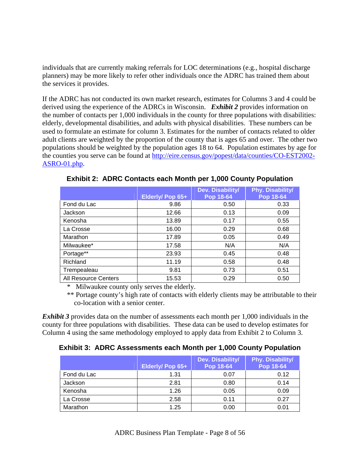individuals that are currently making referrals for LOC determinations (e.g., hospital discharge planners) may be more likely to refer other individuals once the ADRC has trained them about the services it provides.

If the ADRC has not conducted its own market research, estimates for Columns 3 and 4 could be derived using the experience of the ADRCs in Wisconsin. *Exhibit 2* provides information on the number of contacts per 1,000 individuals in the county for three populations with disabilities: elderly, developmental disabilities, and adults with physical disabilities. These numbers can be used to formulate an estimate for column 3. Estimates for the number of contacts related to older adult clients are weighted by the proportion of the county that is ages 65 and over. The other two populations should be weighted by the population ages 18 to 64. Population estimates by age for the counties you serve can be found at http://eire.census.gov/popest/data/counties/CO-EST2002- ASRO-01.php.

|                             |                  | Dev. Disability/ | <b>Phy. Disability/</b> |
|-----------------------------|------------------|------------------|-------------------------|
|                             | Elderly/ Pop 65+ | Pop 18-64        | Pop 18-64               |
| Fond du Lac                 | 9.86             | 0.50             | 0.33                    |
| Jackson                     | 12.66            | 0.13             | 0.09                    |
| Kenosha                     | 13.89            | 0.17             | 0.55                    |
| La Crosse                   | 16.00            | 0.29             | 0.68                    |
| Marathon                    | 17.89            | 0.05             | 0.49                    |
| Milwaukee*                  | 17.58            | N/A              | N/A                     |
| Portage**                   | 23.93            | 0.45             | 0.48                    |
| Richland                    | 11.19            | 0.58             | 0.48                    |
| Trempealeau                 | 9.81             | 0.73             | 0.51                    |
| <b>All Resource Centers</b> | 15.53            | 0.29             | 0.50                    |

**Exhibit 2: ADRC Contacts each Month per 1,000 County Population** 

\* Milwaukee county only serves the elderly.

\*\* Portage county's high rate of contacts with elderly clients may be attributable to their co-location with a senior center.

*Exhibit 3* provides data on the number of assessments each month per 1,000 individuals in the county for three populations with disabilities. These data can be used to develop estimates for Column 4 using the same methodology employed to apply data from Exhibit 2 to Column 3.

### **Exhibit 3: ADRC Assessments each Month per 1,000 County Population**

|             | Elderly/ Pop 65+ | Dev. Disability/<br><b>Pop 18-64</b> | Phy. Disability/<br><b>Pop 18-64</b> |
|-------------|------------------|--------------------------------------|--------------------------------------|
| Fond du Lac | 1.31             | 0.07                                 | 0.12                                 |
| Jackson     | 2.81             | 0.80                                 | 0.14                                 |
| Kenosha     | 1.26             | 0.05                                 | 0.09                                 |
| La Crosse   | 2.58             | 0.11                                 | 0.27                                 |
| Marathon    | 1.25             | 0.00                                 | 0.01                                 |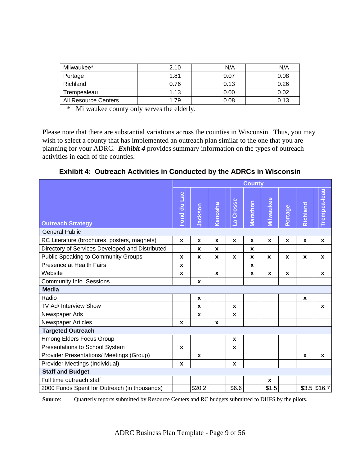| Milwaukee*           | 2.10 | N/A  | N/A  |
|----------------------|------|------|------|
| Portage              | 1.81 | 0.07 | 0.08 |
| Richland             | 0.76 | 0.13 | 0.26 |
| Trempealeau          | 1.13 | 0.00 | 0.02 |
| All Resource Centers | 1.79 | 0.08 | 0.13 |

\* Milwaukee county only serves the elderly.

Please note that there are substantial variations across the counties in Wisconsin. Thus, you may wish to select a county that has implemented an outreach plan similar to the one that you are planning for your ADRC. *Exhibit 4* provides summary information on the types of outreach activities in each of the counties.

**Exhibit 4: Outreach Activities in Conducted by the ADRCs in Wisconsin** 

|                                                 | <b>County</b>      |              |              |                          |              |              |              |                  |                    |
|-------------------------------------------------|--------------------|--------------|--------------|--------------------------|--------------|--------------|--------------|------------------|--------------------|
| <b>Outreach Strategy</b>                        | Fond du Lac        | Jackson      | Kenosha      | Crosse<br>$\vec{\omega}$ | Marathon     | Milwaukee    | Portage      | Richland         | Trempea-leau       |
| <b>General Public</b>                           |                    |              |              |                          |              |              |              |                  |                    |
| RC Literature (brochures, posters, magnets)     | $\mathbf{x}$       | $\mathbf{x}$ | X            | $\mathbf{x}$             | $\mathbf{x}$ | $\mathbf{x}$ | $\mathbf{x}$ | $\mathbf{x}$     | $\pmb{\mathsf{x}}$ |
| Directory of Services Developed and Distributed |                    | X            | X            |                          | $\mathbf{x}$ |              |              |                  |                    |
| <b>Public Speaking to Community Groups</b>      | X                  | X            | X            | $\mathbf{x}$             | X            | X            | $\mathbf{x}$ | $\mathbf{x}$     | X                  |
| Presence at Health Fairs                        | X                  |              |              |                          | X            |              |              |                  |                    |
| Website                                         | $\pmb{\mathsf{x}}$ |              | $\mathbf{x}$ |                          | $\mathbf{x}$ | $\mathbf{x}$ | $\mathbf{x}$ |                  | $\mathbf{x}$       |
| Community Info. Sessions                        |                    | X            |              |                          |              |              |              |                  |                    |
| <b>Media</b>                                    |                    |              |              |                          |              |              |              |                  |                    |
| Radio                                           |                    | X            |              |                          |              |              |              | X                |                    |
| TV Ad/ Interview Show                           |                    | X            |              | $\mathbf{x}$             |              |              |              |                  | $\mathbf{x}$       |
| Newspaper Ads                                   |                    | $\mathbf{x}$ |              | $\mathbf{x}$             |              |              |              |                  |                    |
| Newspaper Articles                              | X                  |              | X            |                          |              |              |              |                  |                    |
| <b>Targeted Outreach</b>                        |                    |              |              |                          |              |              |              |                  |                    |
| Hmong Elders Focus Group                        |                    |              |              | X                        |              |              |              |                  |                    |
| Presentations to School System                  | $\pmb{\mathsf{x}}$ |              |              | X                        |              |              |              |                  |                    |
| Provider Presentations/ Meetings (Group)        |                    | X            |              |                          |              |              |              | $\boldsymbol{x}$ | $\mathbf x$        |
| Provider Meetings (Individual)                  | X                  |              |              | X                        |              |              |              |                  |                    |
| <b>Staff and Budget</b>                         |                    |              |              |                          |              |              |              |                  |                    |
| Full time outreach staff                        |                    |              |              |                          |              | X            |              |                  |                    |
| 2000 Funds Spent for Outreach (in thousands)    |                    | \$20.2       |              | \$6.6                    |              | \$1.5        |              |                  | $$3.5$ \$16.7      |

**Source**: Quarterly reports submitted by Resource Centers and RC budgets submitted to DHFS by the pilots.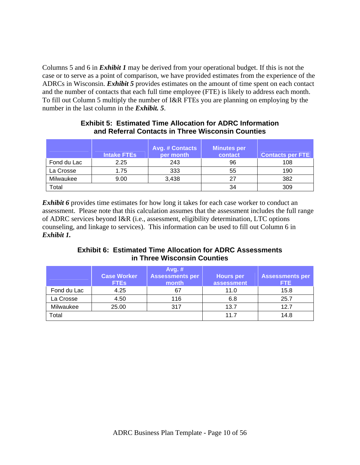Columns 5 and 6 in *Exhibit 1* may be derived from your operational budget. If this is not the case or to serve as a point of comparison, we have provided estimates from the experience of the ADRCs in Wisconsin. *Exhibit 5* provides estimates on the amount of time spent on each contact and the number of contacts that each full time employee (FTE) is likely to address each month. To fill out Column 5 multiply the number of I&R FTEs you are planning on employing by the number in the last column in the *Exhibit. 5*.

|             | <b>Intake FTEs</b> | <b>Avg. # Contacts</b><br>per month | <b>Minutes per</b><br>contact | <b>Contacts per FTE</b> |
|-------------|--------------------|-------------------------------------|-------------------------------|-------------------------|
| Fond du Lac | 2.25               | 243                                 | 96                            | 108                     |
| La Crosse   | 1.75               | 333                                 | 55                            | 190                     |
| Milwaukee   | 9.00               | 3,438                               | 27                            | 382                     |
| Total       |                    |                                     | 34                            | 309                     |

#### **Exhibit 5: Estimated Time Allocation for ADRC Information and Referral Contacts in Three Wisconsin Counties**

*Exhibit 6* provides time estimates for how long it takes for each case worker to conduct an assessment. Please note that this calculation assumes that the assessment includes the full range of ADRC services beyond I&R (i.e., assessment, eligibility determination, LTC options counseling, and linkage to services). This information can be used to fill out Column 6 in *Exhibit 1.*

**Exhibit 6: Estimated Time Allocation for ADRC Assessments in Three Wisconsin Counties** 

|             | <b>Case Worker</b><br><b>FTEs</b> | Avg. #<br><b>Assessments per</b><br>month | <b>Hours per</b><br>assessment | <b>Assessments per</b><br>FTE. |
|-------------|-----------------------------------|-------------------------------------------|--------------------------------|--------------------------------|
| Fond du Lac | 4.25                              | 67                                        | 11.0                           | 15.8                           |
| La Crosse   | 4.50                              | 116                                       | 6.8                            | 25.7                           |
| Milwaukee   | 25.00                             | 317                                       | 13.7                           | 12.7                           |
| Total       |                                   |                                           | 11.7                           | 14.8                           |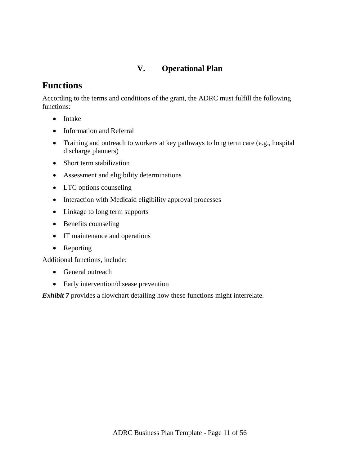# **V. Operational Plan**

# **Functions**

According to the terms and conditions of the grant, the ADRC must fulfill the following functions:

- Intake
- Information and Referral
- Training and outreach to workers at key pathways to long term care (e.g., hospital discharge planners)
- Short term stabilization
- Assessment and eligibility determinations
- LTC options counseling
- Interaction with Medicaid eligibility approval processes
- Linkage to long term supports
- Benefits counseling
- IT maintenance and operations
- Reporting

Additional functions, include:

- General outreach
- Early intervention/disease prevention

*Exhibit 7* provides a flowchart detailing how these functions might interrelate.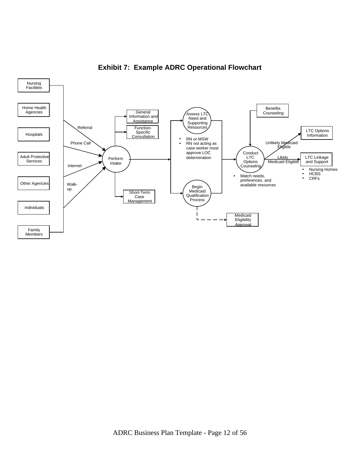

# **Exhibit 7: Example ADRC Operational Flowchart**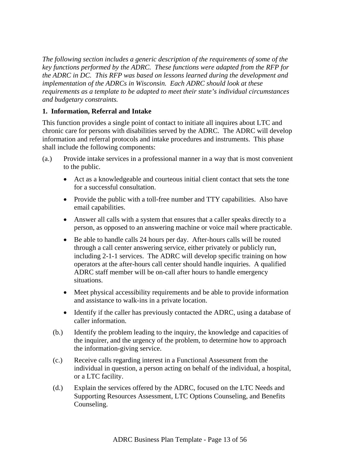*The following section includes a generic description of the requirements of some of the key functions performed by the ADRC. These functions were adapted from the RFP for the ADRC in DC. This RFP was based on lessons learned during the development and implementation of the ADRCs in Wisconsin. Each ADRC should look at these requirements as a template to be adapted to meet their state's individual circumstances and budgetary constraints.*

### **1. Information, Referral and Intake**

This function provides a single point of contact to initiate all inquires about LTC and chronic care for persons with disabilities served by the ADRC. The ADRC will develop information and referral protocols and intake procedures and instruments. This phase shall include the following components:

- (a.) Provide intake services in a professional manner in a way that is most convenient to the public.
	- Act as a knowledgeable and courteous initial client contact that sets the tone for a successful consultation.
	- Provide the public with a toll-free number and TTY capabilities. Also have email capabilities.
	- Answer all calls with a system that ensures that a caller speaks directly to a person, as opposed to an answering machine or voice mail where practicable.
	- Be able to handle calls 24 hours per day. After-hours calls will be routed through a call center answering service, either privately or publicly run, including 2-1-1 services. The ADRC will develop specific training on how operators at the after-hours call center should handle inquiries. A qualified ADRC staff member will be on-call after hours to handle emergency situations.
	- Meet physical accessibility requirements and be able to provide information and assistance to walk-ins in a private location.
	- Identify if the caller has previously contacted the ADRC, using a database of caller information.
	- (b.) Identify the problem leading to the inquiry, the knowledge and capacities of the inquirer, and the urgency of the problem, to determine how to approach the information-giving service.
	- (c.) Receive calls regarding interest in a Functional Assessment from the individual in question, a person acting on behalf of the individual, a hospital, or a LTC facility.
	- (d.) Explain the services offered by the ADRC, focused on the LTC Needs and Supporting Resources Assessment, LTC Options Counseling, and Benefits Counseling.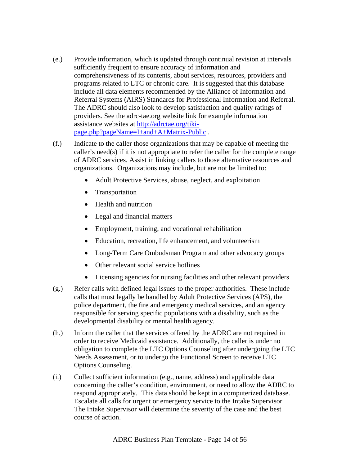- (e.) Provide information, which is updated through continual revision at intervals sufficiently frequent to ensure accuracy of information and comprehensiveness of its contents, about services, resources, providers and programs related to LTC or chronic care. It is suggested that this database include all data elements recommended by the Alliance of Information and Referral Systems (AIRS) Standards for Professional Information and Referral. The ADRC should also look to develop satisfaction and quality ratings of providers. See the adrc-tae.org website link for example information assistance websites at http://adrctae.org/tikipage.php?pageName=I+and+A+Matrix-Public .
- (f.) Indicate to the caller those organizations that may be capable of meeting the caller's need(s) if it is not appropriate to refer the caller for the complete range of ADRC services. Assist in linking callers to those alternative resources and organizations. Organizations may include, but are not be limited to:
	- Adult Protective Services, abuse, neglect, and exploitation
	- Transportation
	- Health and nutrition
	- Legal and financial matters
	- Employment, training, and vocational rehabilitation
	- Education, recreation, life enhancement, and volunteerism
	- Long-Term Care Ombudsman Program and other advocacy groups
	- Other relevant social service hotlines
	- Licensing agencies for nursing facilities and other relevant providers
- (g.) Refer calls with defined legal issues to the proper authorities. These include calls that must legally be handled by Adult Protective Services (APS), the police department, the fire and emergency medical services, and an agency responsible for serving specific populations with a disability, such as the developmental disability or mental health agency.
- (h.) Inform the caller that the services offered by the ADRC are not required in order to receive Medicaid assistance. Additionally, the caller is under no obligation to complete the LTC Options Counseling after undergoing the LTC Needs Assessment, or to undergo the Functional Screen to receive LTC Options Counseling.
- (i.) Collect sufficient information (e.g., name, address) and applicable data concerning the caller's condition, environment, or need to allow the ADRC to respond appropriately. This data should be kept in a computerized database. Escalate all calls for urgent or emergency service to the Intake Supervisor. The Intake Supervisor will determine the severity of the case and the best course of action.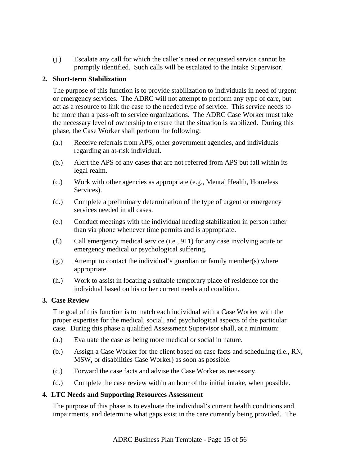(j.) Escalate any call for which the caller's need or requested service cannot be promptly identified. Such calls will be escalated to the Intake Supervisor.

#### **2. Short-term Stabilization**

The purpose of this function is to provide stabilization to individuals in need of urgent or emergency services. The ADRC will not attempt to perform any type of care, but act as a resource to link the case to the needed type of service. This service needs to be more than a pass-off to service organizations. The ADRC Case Worker must take the necessary level of ownership to ensure that the situation is stabilized. During this phase, the Case Worker shall perform the following:

- (a.) Receive referrals from APS, other government agencies, and individuals regarding an at-risk individual.
- (b.) Alert the APS of any cases that are not referred from APS but fall within its legal realm.
- (c.) Work with other agencies as appropriate (e.g., Mental Health, Homeless Services).
- (d.) Complete a preliminary determination of the type of urgent or emergency services needed in all cases.
- (e.) Conduct meetings with the individual needing stabilization in person rather than via phone whenever time permits and is appropriate.
- (f.) Call emergency medical service (i.e., 911) for any case involving acute or emergency medical or psychological suffering.
- (g.) Attempt to contact the individual's guardian or family member(s) where appropriate.
- (h.) Work to assist in locating a suitable temporary place of residence for the individual based on his or her current needs and condition.

#### **3. Case Review**

The goal of this function is to match each individual with a Case Worker with the proper expertise for the medical, social, and psychological aspects of the particular case. During this phase a qualified Assessment Supervisor shall, at a minimum:

- (a.) Evaluate the case as being more medical or social in nature.
- (b.) Assign a Case Worker for the client based on case facts and scheduling (i.e., RN, MSW, or disabilities Case Worker) as soon as possible.
- (c.) Forward the case facts and advise the Case Worker as necessary.
- (d.) Complete the case review within an hour of the initial intake, when possible.

#### **4. LTC Needs and Supporting Resources Assessment**

The purpose of this phase is to evaluate the individual's current health conditions and impairments, and determine what gaps exist in the care currently being provided. The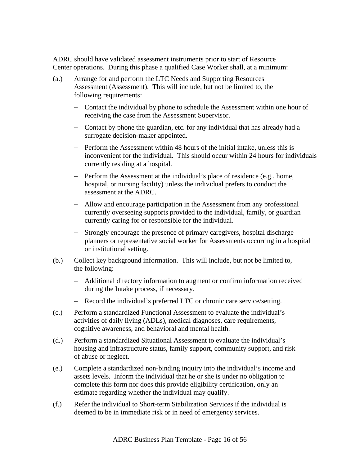ADRC should have validated assessment instruments prior to start of Resource Center operations. During this phase a qualified Case Worker shall, at a minimum:

- (a.) Arrange for and perform the LTC Needs and Supporting Resources Assessment (Assessment). This will include, but not be limited to, the following requirements:
	- − Contact the individual by phone to schedule the Assessment within one hour of receiving the case from the Assessment Supervisor.
	- − Contact by phone the guardian, etc. for any individual that has already had a surrogate decision-maker appointed.
	- − Perform the Assessment within 48 hours of the initial intake, unless this is inconvenient for the individual. This should occur within 24 hours for individuals currently residing at a hospital.
	- − Perform the Assessment at the individual's place of residence (e.g., home, hospital, or nursing facility) unless the individual prefers to conduct the assessment at the ADRC.
	- − Allow and encourage participation in the Assessment from any professional currently overseeing supports provided to the individual, family, or guardian currently caring for or responsible for the individual.
	- − Strongly encourage the presence of primary caregivers, hospital discharge planners or representative social worker for Assessments occurring in a hospital or institutional setting.
- (b.) Collect key background information. This will include, but not be limited to, the following:
	- − Additional directory information to augment or confirm information received during the Intake process, if necessary.
	- − Record the individual's preferred LTC or chronic care service/setting.
- (c.) Perform a standardized Functional Assessment to evaluate the individual's activities of daily living (ADLs), medical diagnoses, care requirements, cognitive awareness, and behavioral and mental health.
- (d.) Perform a standardized Situational Assessment to evaluate the individual's housing and infrastructure status, family support, community support, and risk of abuse or neglect.
- (e.) Complete a standardized non-binding inquiry into the individual's income and assets levels. Inform the individual that he or she is under no obligation to complete this form nor does this provide eligibility certification, only an estimate regarding whether the individual may qualify.
- (f.) Refer the individual to Short-term Stabilization Services if the individual is deemed to be in immediate risk or in need of emergency services.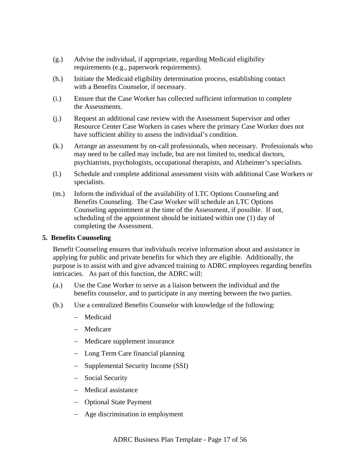- (g.) Advise the individual, if appropriate, regarding Medicaid eligibility requirements (e.g., paperwork requirements).
- (h.) Initiate the Medicaid eligibility determination process, establishing contact with a Benefits Counselor, if necessary.
- (i.) Ensure that the Case Worker has collected sufficient information to complete the Assessments.
- (j.) Request an additional case review with the Assessment Supervisor and other Resource Center Case Workers in cases where the primary Case Worker does not have sufficient ability to assess the individual's condition.
- (k.) Arrange an assessment by on-call professionals, when necessary. Professionals who may need to be called may include, but are not limited to, medical doctors, psychiatrists, psychologists, occupational therapists, and Alzheimer's specialists.
- (l.) Schedule and complete additional assessment visits with additional Case Workers or specialists.
- (m.) Inform the individual of the availability of LTC Options Counseling and Benefits Counseling. The Case Worker will schedule an LTC Options Counseling appointment at the time of the Assessment, if possible. If not, scheduling of the appointment should be initiated within one (1) day of completing the Assessment.

#### **5. Benefits Counseling**

Benefit Counseling ensures that individuals receive information about and assistance in applying for public and private benefits for which they are eligible. Additionally, the purpose is to assist with and give advanced training to ADRC employees regarding benefits intricacies. As part of this function, the ADRC will:

- (a.) Use the Case Worker to serve as a liaison between the individual and the benefits counselor, and to participate in any meeting between the two parties.
- (b.) Use a centralized Benefits Counselor with knowledge of the following:
	- − Medicaid
	- − Medicare
	- − Medicare supplement insurance
	- − Long Term Care financial planning
	- − Supplemental Security Income (SSI)
	- − Social Security
	- − Medical assistance
	- − Optional State Payment
	- − Age discrimination in employment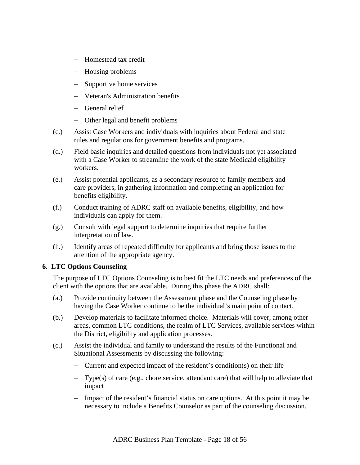- − Homestead tax credit
- − Housing problems
- − Supportive home services
- − Veteran's Administration benefits
- − General relief
- − Other legal and benefit problems
- (c.) Assist Case Workers and individuals with inquiries about Federal and state rules and regulations for government benefits and programs.
- (d.) Field basic inquiries and detailed questions from individuals not yet associated with a Case Worker to streamline the work of the state Medicaid eligibility workers.
- (e.) Assist potential applicants, as a secondary resource to family members and care providers, in gathering information and completing an application for benefits eligibility.
- (f.) Conduct training of ADRC staff on available benefits, eligibility, and how individuals can apply for them.
- (g.) Consult with legal support to determine inquiries that require further interpretation of law.
- (h.) Identify areas of repeated difficulty for applicants and bring those issues to the attention of the appropriate agency.

### **6. LTC Options Counseling**

The purpose of LTC Options Counseling is to best fit the LTC needs and preferences of the client with the options that are available. During this phase the ADRC shall:

- (a.) Provide continuity between the Assessment phase and the Counseling phase by having the Case Worker continue to be the individual's main point of contact.
- (b.) Develop materials to facilitate informed choice. Materials will cover, among other areas, common LTC conditions, the realm of LTC Services, available services within the District, eligibility and application processes.
- (c.) Assist the individual and family to understand the results of the Functional and Situational Assessments by discussing the following:
	- − Current and expected impact of the resident's condition(s) on their life
	- − Type(s) of care (e.g., chore service, attendant care) that will help to alleviate that impact
	- − Impact of the resident's financial status on care options. At this point it may be necessary to include a Benefits Counselor as part of the counseling discussion.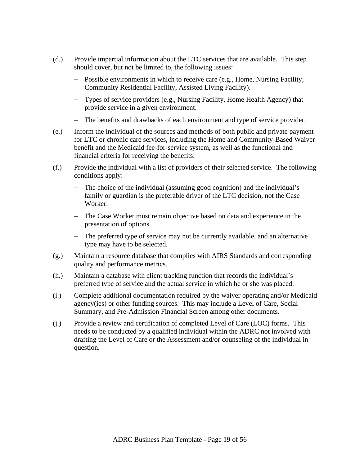- (d.) Provide impartial information about the LTC services that are available. This step should cover, but not be limited to, the following issues:
	- − Possible environments in which to receive care (e.g., Home, Nursing Facility, Community Residential Facility, Assisted Living Facility).
	- − Types of service providers (e.g., Nursing Facility, Home Health Agency) that provide service in a given environment.
	- − The benefits and drawbacks of each environment and type of service provider.
- (e.) Inform the individual of the sources and methods of both public and private payment for LTC or chronic care services, including the Home and Community-Based Waiver benefit and the Medicaid fee-for-service system, as well as the functional and financial criteria for receiving the benefits.
- (f.) Provide the individual with a list of providers of their selected service. The following conditions apply:
	- − The choice of the individual (assuming good cognition) and the individual's family or guardian is the preferable driver of the LTC decision, not the Case Worker.
	- − The Case Worker must remain objective based on data and experience in the presentation of options.
	- − The preferred type of service may not be currently available, and an alternative type may have to be selected.
- (g.) Maintain a resource database that complies with AIRS Standards and corresponding quality and performance metrics.
- (h.) Maintain a database with client tracking function that records the individual's preferred type of service and the actual service in which he or she was placed.
- (i.) Complete additional documentation required by the waiver operating and/or Medicaid agency(ies) or other funding sources. This may include a Level of Care, Social Summary, and Pre-Admission Financial Screen among other documents.
- (j.) Provide a review and certification of completed Level of Care (LOC) forms. This needs to be conducted by a qualified individual within the ADRC not involved with drafting the Level of Care or the Assessment and/or counseling of the individual in question.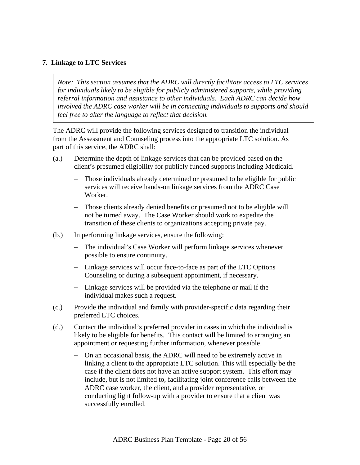#### **7. Linkage to LTC Services**

*Note: This section assumes that the ADRC will directly facilitate access to LTC services for individuals likely to be eligible for publicly administered supports, while providing referral information and assistance to other individuals. Each ADRC can decide how involved the ADRC case worker will be in connecting individuals to supports and should feel free to alter the language to reflect that decision.* 

The ADRC will provide the following services designed to transition the individual from the Assessment and Counseling process into the appropriate LTC solution. As part of this service, the ADRC shall:

- (a.) Determine the depth of linkage services that can be provided based on the client's presumed eligibility for publicly funded supports including Medicaid.
	- − Those individuals already determined or presumed to be eligible for public services will receive hands-on linkage services from the ADRC Case Worker.
	- − Those clients already denied benefits or presumed not to be eligible will not be turned away. The Case Worker should work to expedite the transition of these clients to organizations accepting private pay.
- (b.) In performing linkage services, ensure the following:
	- The individual's Case Worker will perform linkage services whenever possible to ensure continuity.
	- − Linkage services will occur face-to-face as part of the LTC Options Counseling or during a subsequent appointment, if necessary.
	- − Linkage services will be provided via the telephone or mail if the individual makes such a request.
- (c.) Provide the individual and family with provider-specific data regarding their preferred LTC choices.
- (d.) Contact the individual's preferred provider in cases in which the individual is likely to be eligible for benefits. This contact will be limited to arranging an appointment or requesting further information, whenever possible.
	- − On an occasional basis, the ADRC will need to be extremely active in linking a client to the appropriate LTC solution. This will especially be the case if the client does not have an active support system. This effort may include, but is not limited to, facilitating joint conference calls between the ADRC case worker, the client, and a provider representative, or conducting light follow-up with a provider to ensure that a client was successfully enrolled.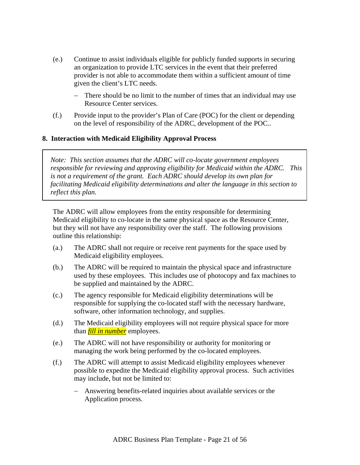- (e.) Continue to assist individuals eligible for publicly funded supports in securing an organization to provide LTC services in the event that their preferred provider is not able to accommodate them within a sufficient amount of time given the client's LTC needs.
	- − There should be no limit to the number of times that an individual may use Resource Center services.
- (f.) Provide input to the provider's Plan of Care (POC) for the client or depending on the level of responsibility of the ADRC, development of the POC..

### **8. Interaction with Medicaid Eligibility Approval Process**

*Note: This section assumes that the ADRC will co-locate government employees responsible for reviewing and approving eligibility for Medicaid within the ADRC. This is not a requirement of the grant. Each ADRC should develop its own plan for facilitating Medicaid eligibility determinations and alter the language in this section to reflect this plan.* 

The ADRC will allow employees from the entity responsible for determining Medicaid eligibility to co-locate in the same physical space as the Resource Center, but they will not have any responsibility over the staff. The following provisions outline this relationship:

- (a.) The ADRC shall not require or receive rent payments for the space used by Medicaid eligibility employees.
- (b.) The ADRC will be required to maintain the physical space and infrastructure used by these employees. This includes use of photocopy and fax machines to be supplied and maintained by the ADRC.
- (c.) The agency responsible for Medicaid eligibility determinations will be responsible for supplying the co-located staff with the necessary hardware, software, other information technology, and supplies.
- (d.) The Medicaid eligibility employees will not require physical space for more than *fill in number* employees.
- (e.) The ADRC will not have responsibility or authority for monitoring or managing the work being performed by the co-located employees.
- (f.) The ADRC will attempt to assist Medicaid eligibility employees whenever possible to expedite the Medicaid eligibility approval process. Such activities may include, but not be limited to:
	- Answering benefits-related inquiries about available services or the Application process.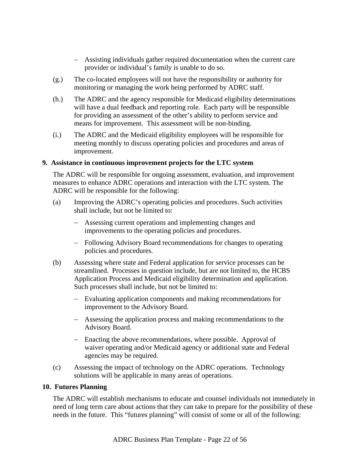- − Assisting individuals gather required documentation when the current care provider or individual's family is unable to do so.
- (g.) The co-located employees will not have the responsibility or authority for monitoring or managing the work being performed by ADRC staff.
- (h.) The ADRC and the agency responsible for Medicaid eligibility determinations will have a dual feedback and reporting role. Each party will be responsible for providing an assessment of the other's ability to perform service and means for improvement. This assessment will be non-binding.
- (i.) The ADRC and the Medicaid eligibility employees will be responsible for meeting monthly to discuss operating policies and procedures and areas of improvement.

#### **9. Assistance in continuous improvement projects for the LTC system**

The ADRC will be responsible for ongoing assessment, evaluation, and improvement measures to enhance ADRC operations and interaction with the LTC system. The ADRC will be responsible for the following:

- (a) Improving the ADRC's operating policies and procedures. Such activities shall include, but not be limited to:
	- − Assessing current operations and implementing changes and improvements to the operating policies and procedures.
	- − Following Advisory Board recommendations for changes to operating policies and procedures.
- (b) Assessing where state and Federal application for service processes can be streamlined. Processes in question include, but are not limited to, the HCBS Application Process and Medicaid eligibility determination and application. Such processes shall include, but not be limited to:
	- − Evaluating application components and making recommendations for improvement to the Advisory Board.
	- − Assessing the application process and making recommendations to the Advisory Board.
	- − Enacting the above recommendations, where possible. Approval of waiver operating and/or Medicaid agency or additional state and Federal agencies may be required.
- (c) Assessing the impact of technology on the ADRC operations. Technology solutions will be applicable in many areas of operations.

#### **10. Futures Planning**

The ADRC will establish mechanisms to educate and counsel individuals not immediately in need of long term care about actions that they can take to prepare for the possibility of these needs in the future. This "futures planning" will consist of some or all of the following: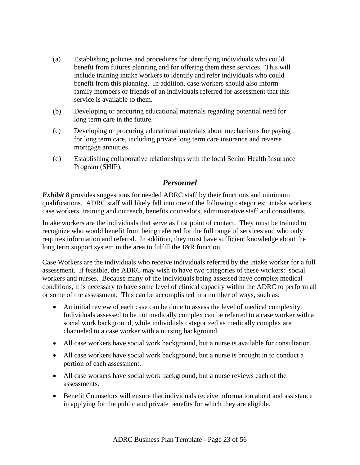- (a) Establishing policies and procedures for identifying individuals who could benefit from futures planning and for offering them these services. This will include training intake workers to identify and refer individuals who could benefit from this planning. In addition, case workers should also inform family members or friends of an individuals referred for assessment that this service is available to them.
- (b) Developing or procuring educational materials regarding potential need for long term care in the future.
- (c) Developing or procuring educational materials about mechanisms for paying for long term care, including private long term care insurance and reverse mortgage annuities.
- (d) Establishing collaborative relationships with the local Senior Health Insurance Program (SHIP).

### *Personnel*

*Exhibit 8* provides suggestions for needed ADRC staff by their functions and minimum qualifications. ADRC staff will likely fall into one of the following categories: intake workers, case workers, training and outreach, benefits counselors, administrative staff and consultants.

Intake workers are the individuals that serve as first point of contact. They must be trained to recognize who would benefit from being referred for the full range of services and who only requires information and referral. In addition, they must have sufficient knowledge about the long term support system in the area to fulfill the I&R function.

Case Workers are the individuals who receive individuals referred by the intake worker for a full assessment. If feasible, the ADRC may wish to have two categories of these workers: social workers and nurses. Because many of the individuals being assessed have complex medical conditions, it is necessary to have some level of clinical capacity within the ADRC to perform all or some of the assessment. This can be accomplished in a number of ways, such as:

- An initial review of each case can be done to assess the level of medical complexity. Individuals assessed to be not medically complex can be referred to a case worker with a social work background, while individuals categorized as medically complex are channeled to a case worker with a nursing background.
- All case workers have social work background, but a nurse is available for consultation.
- All case workers have social work background, but a nurse is brought in to conduct a portion of each assessment.
- All case workers have social work background, but a nurse reviews each of the assessments.
- Benefit Counselors will ensure that individuals receive information about and assistance in applying for the public and private benefits for which they are eligible.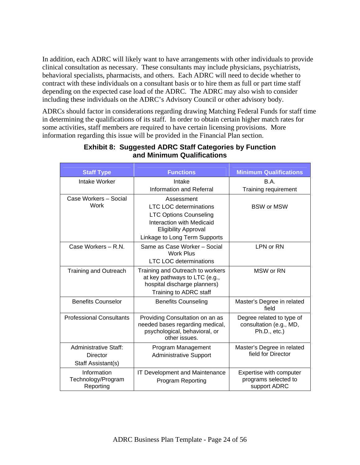In addition, each ADRC will likely want to have arrangements with other individuals to provide clinical consultation as necessary. These consultants may include physicians, psychiatrists, behavioral specialists, pharmacists, and others. Each ADRC will need to decide whether to contract with these individuals on a consultant basis or to hire them as full or part time staff depending on the expected case load of the ADRC. The ADRC may also wish to consider including these individuals on the ADRC's Advisory Council or other advisory body.

ADRCs should factor in considerations regarding drawing Matching Federal Funds for staff time in determining the qualifications of its staff. In order to obtain certain higher match rates for some activities, staff members are required to have certain licensing provisions. More information regarding this issue will be provided in the Financial Plan section.

| <b>Staff Type</b>                                              | <b>Functions</b>                                                                                                                         | <b>Minimum Qualifications</b>                                           |
|----------------------------------------------------------------|------------------------------------------------------------------------------------------------------------------------------------------|-------------------------------------------------------------------------|
| Intake Worker                                                  | Intake                                                                                                                                   | B.A.                                                                    |
|                                                                | <b>Information and Referral</b>                                                                                                          | Training requirement                                                    |
| Case Workers - Social<br>Work                                  | Assessment<br><b>LTC LOC determinations</b><br><b>LTC Options Counseling</b><br>Interaction with Medicaid<br><b>Eligibility Approval</b> | <b>BSW or MSW</b>                                                       |
|                                                                | Linkage to Long Term Supports                                                                                                            |                                                                         |
| Case Workers - R.N.                                            | Same as Case Worker - Social<br><b>Work Plus</b><br><b>LTC LOC determinations</b>                                                        | LPN or RN                                                               |
| <b>Training and Outreach</b>                                   | Training and Outreach to workers<br>at key pathways to LTC (e.g.,<br>hospital discharge planners)<br>Training to ADRC staff              | MSW or RN                                                               |
| <b>Benefits Counselor</b>                                      | <b>Benefits Counseling</b>                                                                                                               | Master's Degree in related<br>field                                     |
| <b>Professional Consultants</b>                                | Providing Consultation on an as<br>needed bases regarding medical,<br>psychological, behavioral, or<br>other issues.                     | Degree related to type of<br>consultation (e.g., MD,<br>$Ph.D., etc.$ ) |
| <b>Administrative Staff:</b><br>Director<br>Staff Assistant(s) | Program Management<br><b>Administrative Support</b>                                                                                      | Master's Degree in related<br>field for Director                        |
| Information<br>Technology/Program<br>Reporting                 | IT Development and Maintenance<br><b>Program Reporting</b>                                                                               | Expertise with computer<br>programs selected to<br>support ADRC         |

### **Exhibit 8: Suggested ADRC Staff Categories by Function and Minimum Qualifications**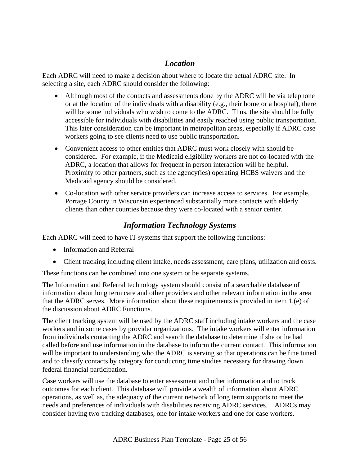# *Location*

Each ADRC will need to make a decision about where to locate the actual ADRC site. In selecting a site, each ADRC should consider the following:

- Although most of the contacts and assessments done by the ADRC will be via telephone or at the location of the individuals with a disability (e.g., their home or a hospital), there will be some individuals who wish to come to the ADRC. Thus, the site should be fully accessible for individuals with disabilities and easily reached using public transportation. This later consideration can be important in metropolitan areas, especially if ADRC case workers going to see clients need to use public transportation.
- Convenient access to other entities that ADRC must work closely with should be considered. For example, if the Medicaid eligibility workers are not co-located with the ADRC, a location that allows for frequent in person interaction will be helpful. Proximity to other partners, such as the agency(ies) operating HCBS waivers and the Medicaid agency should be considered.
- Co-location with other service providers can increase access to services. For example, Portage County in Wisconsin experienced substantially more contacts with elderly clients than other counties because they were co-located with a senior center.

# *Information Technology Systems*

Each ADRC will need to have IT systems that support the following functions:

- Information and Referral
- Client tracking including client intake, needs assessment, care plans, utilization and costs.

These functions can be combined into one system or be separate systems.

The Information and Referral technology system should consist of a searchable database of information about long term care and other providers and other relevant information in the area that the ADRC serves. More information about these requirements is provided in item 1.(e) of the discussion about ADRC Functions.

The client tracking system will be used by the ADRC staff including intake workers and the case workers and in some cases by provider organizations. The intake workers will enter information from individuals contacting the ADRC and search the database to determine if she or he had called before and use information in the database to inform the current contact. This information will be important to understanding who the ADRC is serving so that operations can be fine tuned and to classify contacts by category for conducting time studies necessary for drawing down federal financial participation.

Case workers will use the database to enter assessment and other information and to track outcomes for each client. This database will provide a wealth of information about ADRC operations, as well as, the adequacy of the current network of long term supports to meet the needs and preferences of individuals with disabilities receiving ADRC services. ADRCs may consider having two tracking databases, one for intake workers and one for case workers.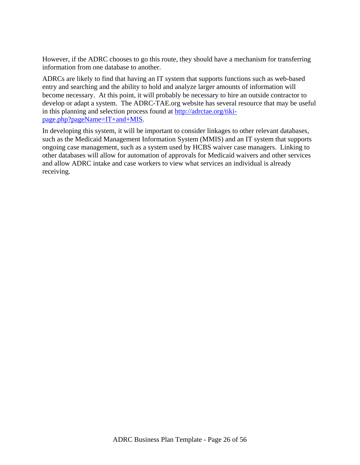However, if the ADRC chooses to go this route, they should have a mechanism for transferring information from one database to another.

ADRCs are likely to find that having an IT system that supports functions such as web-based entry and searching and the ability to hold and analyze larger amounts of information will become necessary. At this point, it will probably be necessary to hire an outside contractor to develop or adapt a system. The ADRC-TAE.org website has several resource that may be useful in this planning and selection process found at http://adrctae.org/tikipage.php?pageName=IT+and+MIS.

In developing this system, it will be important to consider linkages to other relevant databases, such as the Medicaid Management Information System (MMIS) and an IT system that supports ongoing case management, such as a system used by HCBS waiver case managers. Linking to other databases will allow for automation of approvals for Medicaid waivers and other services and allow ADRC intake and case workers to view what services an individual is already receiving.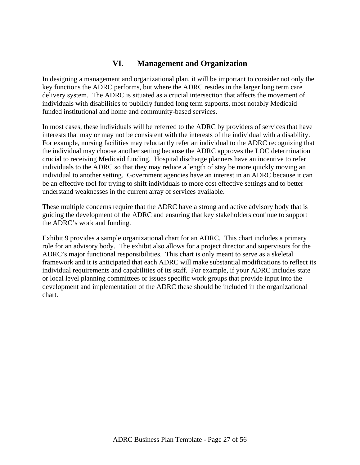### **VI. Management and Organization**

In designing a management and organizational plan, it will be important to consider not only the key functions the ADRC performs, but where the ADRC resides in the larger long term care delivery system. The ADRC is situated as a crucial intersection that affects the movement of individuals with disabilities to publicly funded long term supports, most notably Medicaid funded institutional and home and community-based services.

In most cases, these individuals will be referred to the ADRC by providers of services that have interests that may or may not be consistent with the interests of the individual with a disability. For example, nursing facilities may reluctantly refer an individual to the ADRC recognizing that the individual may choose another setting because the ADRC approves the LOC determination crucial to receiving Medicaid funding. Hospital discharge planners have an incentive to refer individuals to the ADRC so that they may reduce a length of stay be more quickly moving an individual to another setting. Government agencies have an interest in an ADRC because it can be an effective tool for trying to shift individuals to more cost effective settings and to better understand weaknesses in the current array of services available.

These multiple concerns require that the ADRC have a strong and active advisory body that is guiding the development of the ADRC and ensuring that key stakeholders continue to support the ADRC's work and funding.

Exhibit 9 provides a sample organizational chart for an ADRC. This chart includes a primary role for an advisory body. The exhibit also allows for a project director and supervisors for the ADRC's major functional responsibilities. This chart is only meant to serve as a skeletal framework and it is anticipated that each ADRC will make substantial modifications to reflect its individual requirements and capabilities of its staff. For example, if your ADRC includes state or local level planning committees or issues specific work groups that provide input into the development and implementation of the ADRC these should be included in the organizational chart.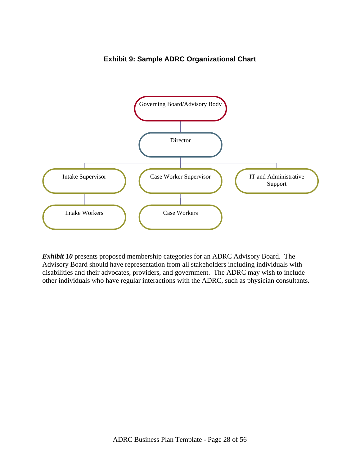

**Exhibit 9: Sample ADRC Organizational Chart** 

*Exhibit 10* presents proposed membership categories for an ADRC Advisory Board. The Advisory Board should have representation from all stakeholders including individuals with disabilities and their advocates, providers, and government. The ADRC may wish to include other individuals who have regular interactions with the ADRC, such as physician consultants.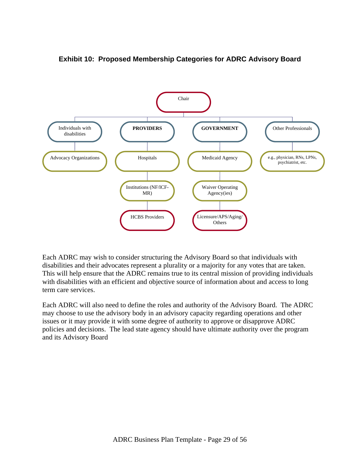

### **Exhibit 10: Proposed Membership Categories for ADRC Advisory Board**

Each ADRC may wish to consider structuring the Advisory Board so that individuals with disabilities and their advocates represent a plurality or a majority for any votes that are taken. This will help ensure that the ADRC remains true to its central mission of providing individuals with disabilities with an efficient and objective source of information about and access to long term care services.

Each ADRC will also need to define the roles and authority of the Advisory Board. The ADRC may choose to use the advisory body in an advisory capacity regarding operations and other issues or it may provide it with some degree of authority to approve or disapprove ADRC policies and decisions. The lead state agency should have ultimate authority over the program and its Advisory Board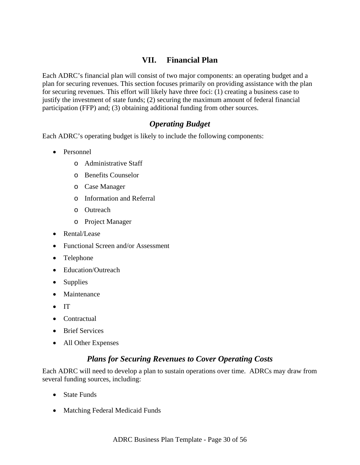## **VII. Financial Plan**

Each ADRC's financial plan will consist of two major components: an operating budget and a plan for securing revenues. This section focuses primarily on providing assistance with the plan for securing revenues. This effort will likely have three foci: (1) creating a business case to justify the investment of state funds; (2) securing the maximum amount of federal financial participation (FFP) and; (3) obtaining additional funding from other sources.

### *Operating Budget*

Each ADRC's operating budget is likely to include the following components:

- Personnel
	- o Administrative Staff
	- o Benefits Counselor
	- o Case Manager
	- o Information and Referral
	- o Outreach
	- o Project Manager
- Rental/Lease
- Functional Screen and/or Assessment
- Telephone
- Education/Outreach
- Supplies
- Maintenance
- IT
- Contractual
- Brief Services
- All Other Expenses

### *Plans for Securing Revenues to Cover Operating Costs*

Each ADRC will need to develop a plan to sustain operations over time. ADRCs may draw from several funding sources, including:

- State Funds
- Matching Federal Medicaid Funds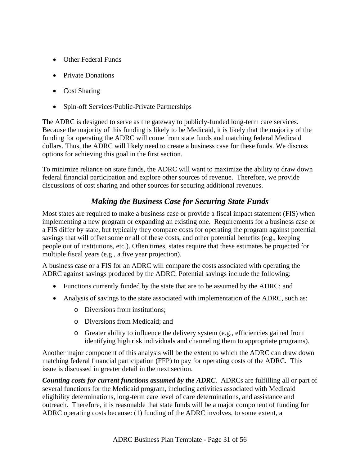- Other Federal Funds
- Private Donations
- Cost Sharing
- Spin-off Services/Public-Private Partnerships

The ADRC is designed to serve as the gateway to publicly-funded long-term care services. Because the majority of this funding is likely to be Medicaid, it is likely that the majority of the funding for operating the ADRC will come from state funds and matching federal Medicaid dollars. Thus, the ADRC will likely need to create a business case for these funds. We discuss options for achieving this goal in the first section.

To minimize reliance on state funds, the ADRC will want to maximize the ability to draw down federal financial participation and explore other sources of revenue. Therefore, we provide discussions of cost sharing and other sources for securing additional revenues.

# *Making the Business Case for Securing State Funds*

Most states are required to make a business case or provide a fiscal impact statement (FIS) when implementing a new program or expanding an existing one. Requirements for a business case or a FIS differ by state, but typically they compare costs for operating the program against potential savings that will offset some or all of these costs, and other potential benefits (e.g., keeping people out of institutions, etc.). Often times, states require that these estimates be projected for multiple fiscal years (e.g., a five year projection).

A business case or a FIS for an ADRC will compare the costs associated with operating the ADRC against savings produced by the ADRC. Potential savings include the following:

- Functions currently funded by the state that are to be assumed by the ADRC; and
- Analysis of savings to the state associated with implementation of the ADRC, such as:
	- o Diversions from institutions;
	- o Diversions from Medicaid; and
	- o Greater ability to influence the delivery system (e.g., efficiencies gained from identifying high risk individuals and channeling them to appropriate programs).

Another major component of this analysis will be the extent to which the ADRC can draw down matching federal financial participation (FFP) to pay for operating costs of the ADRC. This issue is discussed in greater detail in the next section.

*Counting costs for current functions assumed by the ADRC*. ADRCs are fulfilling all or part of several functions for the Medicaid program, including activities associated with Medicaid eligibility determinations, long-term care level of care determinations, and assistance and outreach. Therefore, it is reasonable that state funds will be a major component of funding for ADRC operating costs because: (1) funding of the ADRC involves, to some extent, a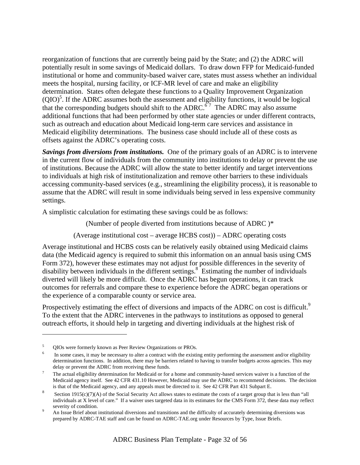reorganization of functions that are currently being paid by the State; and (2) the ADRC will potentially result in some savings of Medicaid dollars. To draw down FFP for Medicaid-funded institutional or home and community-based waiver care, states must assess whether an individual meets the hospital, nursing facility, or ICF-MR level of care and make an eligibility determination. States often delegate these functions to a Quality Improvement Organization  $(QIO)^5$ . If the ADRC assumes both the assessment and eligibility functions, it would be logical that the corresponding budgets should shift to the ADRC.<sup> $67$ </sup> The ADRC may also assume additional functions that had been performed by other state agencies or under different contracts, such as outreach and education about Medicaid long-term care services and assistance in Medicaid eligibility determinations. The business case should include all of these costs as offsets against the ADRC's operating costs.

*Savings from diversions from institutions.* One of the primary goals of an ADRC is to intervene in the current flow of individuals from the community into institutions to delay or prevent the use of institutions. Because the ADRC will allow the state to better identify and target interventions to individuals at high risk of institutionalization and remove other barriers to these individuals accessing community-based services (e.g., streamlining the eligibility process), it is reasonable to assume that the ADRC will result in some individuals being served in less expensive community settings.

A simplistic calculation for estimating these savings could be as follows:

(Number of people diverted from institutions because of ADRC )\*

(Average institutional cost – average HCBS cost)) – ADRC operating costs

Average institutional and HCBS costs can be relatively easily obtained using Medicaid claims data (the Medicaid agency is required to submit this information on an annual basis using CMS Form 372), however these estimates may not adjust for possible differences in the severity of disability between individuals in the different settings.<sup>8</sup> Estimating the number of individuals diverted will likely be more difficult. Once the ADRC has begun operations, it can track outcomes for referrals and compare these to experience before the ADRC began operations or the experience of a comparable county or service area.

Prospectively estimating the effect of diversions and impacts of the ADRC on cost is difficult.<sup>9</sup> To the extent that the ADRC intervenes in the pathways to institutions as opposed to general outreach efforts, it should help in targeting and diverting individuals at the highest risk of

1

<sup>5</sup> QIOs were formerly known as Peer Review Organizations or PROs. 6

In some cases, it may be necessary to alter a contract with the existing entity performing the assessment and/or eligibility determination functions. In addition, there may be barriers related to having to transfer budgets across agencies. This may delay or prevent the ADRC from receiving these funds.

The actual eligibility determination for Medicaid or for a home and community-based services waiver is a function of the Medicaid agency itself. See 42 CFR 431.10 However, Medicaid may use the ADRC to recommend decisions. The decision

is that of the Medicaid agency, and any appeals must be directed to it. See 42 CFR Part 431 Subpart E.<br>Section 1915(c)(7)(A) of the Social Security Act allows states to estimate the costs of a target group that is less tha individuals at X level of care." If a waiver uses targeted data in its estimates for the CMS Form 372, these data may reflect severity of condition.

An Issue Brief about institutional diversions and transitions and the difficulty of accurately determining diversions was prepared by ADRC-TAE staff and can be found on ADRC-TAE.org under Resources by Type, Issue Briefs.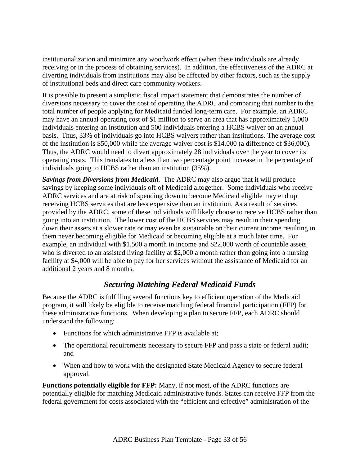institutionalization and minimize any woodwork effect (when these individuals are already receiving or in the process of obtaining services). In addition, the effectiveness of the ADRC at diverting individuals from institutions may also be affected by other factors, such as the supply of institutional beds and direct care community workers.

It is possible to present a simplistic fiscal impact statement that demonstrates the number of diversions necessary to cover the cost of operating the ADRC and comparing that number to the total number of people applying for Medicaid funded long-term care. For example, an ADRC may have an annual operating cost of \$1 million to serve an area that has approximately 1,000 individuals entering an institution and 500 individuals entering a HCBS waiver on an annual basis. Thus, 33% of individuals go into HCBS waivers rather than institutions. The average cost of the institution is \$50,000 while the average waiver cost is \$14,000 (a difference of \$36,000). Thus, the ADRC would need to divert approximately 28 individuals over the year to cover its operating costs. This translates to a less than two percentage point increase in the percentage of individuals going to HCBS rather than an institution (35%).

*Savings from Diversions from Medicaid*. The ADRC may also argue that it will produce savings by keeping some individuals off of Medicaid altogether. Some individuals who receive ADRC services and are at risk of spending down to become Medicaid eligible may end up receiving HCBS services that are less expensive than an institution. As a result of services provided by the ADRC, some of these individuals will likely choose to receive HCBS rather than going into an institution. The lower cost of the HCBS services may result in their spending down their assets at a slower rate or may even be sustainable on their current income resulting in them never becoming eligible for Medicaid or becoming eligible at a much later time. For example, an individual with \$1,500 a month in income and \$22,000 worth of countable assets who is diverted to an assisted living facility at \$2,000 a month rather than going into a nursing facility at \$4,000 will be able to pay for her services without the assistance of Medicaid for an additional 2 years and 8 months.

### *Securing Matching Federal Medicaid Funds*

Because the ADRC is fulfilling several functions key to efficient operation of the Medicaid program, it will likely be eligible to receive matching federal financial participation (FFP) for these administrative functions. When developing a plan to secure FFP, each ADRC should understand the following:

- Functions for which administrative FFP is available at:
- The operational requirements necessary to secure FFP and pass a state or federal audit; and
- When and how to work with the designated State Medicaid Agency to secure federal approval.

**Functions potentially eligible for FFP:** Many, if not most, of the ADRC functions are potentially eligible for matching Medicaid administrative funds. States can receive FFP from the federal government for costs associated with the "efficient and effective" administration of the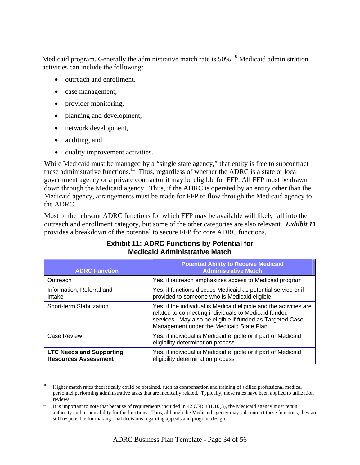Medicaid program. Generally the administrative match rate is 50%.<sup>10</sup> Medicaid administration activities can include the following:

- outreach and enrollment,
- case management,
- provider monitoring,
- planning and development,
- network development,
- auditing, and

 $\overline{a}$ 

• quality improvement activities.

While Medicaid must be managed by a "single state agency," that entity is free to subcontract these administrative functions.<sup> $11$ </sup> Thus, regardless of whether the ADRC is a state or local government agency or a private contractor it may be eligible for FFP. All FFP must be drawn down through the Medicaid agency. Thus, if the ADRC is operated by an entity other than the Medicaid agency, arrangements must be made for FFP to flow through the Medicaid agency to the ADRC.

Most of the relevant ADRC functions for which FFP may be available will likely fall into the outreach and enrollment category, but some of the other categories are also relevant. *Exhibit 11* provides a breakdown of the potential to secure FFP for core ADRC functions.

| <b>ADRC Function</b>                                           | <b>Potential Ability to Receive Medicaid</b><br><b>Administrative Match</b>                                                                                                                                                          |
|----------------------------------------------------------------|--------------------------------------------------------------------------------------------------------------------------------------------------------------------------------------------------------------------------------------|
| Outreach                                                       | Yes, if outreach emphasizes access to Medicaid program                                                                                                                                                                               |
| Information, Referral and<br>Intake                            | Yes, if functions discuss Medicaid as potential service or if<br>provided to someone who is Medicaid eligible                                                                                                                        |
| Short-term Stabilization                                       | Yes, if the individual is Medicaid eligible and the activities are<br>related to connecting individuals to Medicaid funded<br>services. May also be eligible if funded as Targeted Case<br>Management under the Medicaid State Plan. |
| Case Review                                                    | Yes, if individual is Medicaid eligible or if part of Medicaid<br>eligibility determination process                                                                                                                                  |
| <b>LTC Needs and Supporting</b><br><b>Resources Assessment</b> | Yes, if individual is Medicaid eligible or if part of Medicaid<br>eligibility determination process                                                                                                                                  |

### **Exhibit 11: ADRC Functions by Potential for Medicaid Administrative Match**

 $10$  Higher match rates theoretically could be obtained, such as compensation and training of skilled professional medical personnel performing administrative tasks that are medically related. Typically, these rates have been applied to utilization reviews.<br><sup>11</sup> It is important to note that because of requirements included in 42 CFR 431.10(3), the Medicaid agency must retain

authority and responsibility for the functions. Thus, although the Medicaid agency may subcontract these functions, they are still responsible for making final decisions regarding appeals and program design.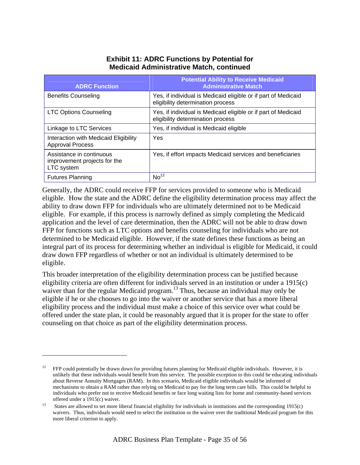### **Exhibit 11: ADRC Functions by Potential for Medicaid Administrative Match, continued**

| <b>ADRC Function</b>                                                   | <b>Potential Ability to Receive Medicaid</b><br><b>Administrative Match</b>                         |
|------------------------------------------------------------------------|-----------------------------------------------------------------------------------------------------|
| <b>Benefits Counseling</b>                                             | Yes, if individual is Medicaid eligible or if part of Medicaid<br>eligibility determination process |
| <b>LTC Options Counseling</b>                                          | Yes, if individual is Medicaid eligible or if part of Medicaid<br>eligibility determination process |
| Linkage to LTC Services                                                | Yes, if individual is Medicaid eligible                                                             |
| Interaction with Medicaid Eligibility<br><b>Approval Process</b>       | Yes                                                                                                 |
| Assistance in continuous<br>improvement projects for the<br>LTC system | Yes, if effort impacts Medicaid services and beneficiaries                                          |
| <b>Futures Planning</b>                                                | No <sup>12</sup>                                                                                    |

Generally, the ADRC could receive FFP for services provided to someone who is Medicaid eligible. How the state and the ADRC define the eligibility determination process may affect the ability to draw down FFP for individuals who are ultimately determined not to be Medicaid eligible. For example, if this process is narrowly defined as simply completing the Medicaid application and the level of care determination, then the ADRC will not be able to draw down FFP for functions such as LTC options and benefits counseling for individuals who are not determined to be Medicaid eligible. However, if the state defines these functions as being an integral part of its process for determining whether an individual is eligible for Medicaid, it could draw down FFP regardless of whether or not an individual is ultimately determined to be eligible.

This broader interpretation of the eligibility determination process can be justified because eligibility criteria are often different for individuals served in an institution or under a 1915(c) waiver than for the regular Medicaid program.<sup>13</sup> Thus, because an individual may only be eligible if he or she chooses to go into the waiver or another service that has a more liberal eligibility process and the individual must make a choice of this service over what could be offered under the state plan, it could be reasonably argued that it is proper for the state to offer counseling on that choice as part of the eligibility determination process.

1

<sup>12</sup> FFP could potentially be drawn down for providing futures planning for Medicaid eligible individuals. However, it is unlikely that these individuals would benefit from this service. The possible exception to this could be educating individuals about Reverse Annuity Mortgages (RAM). In this scenario, Medicaid eligible individuals would be informed of mechanisms to obtain a RAM rather than relying on Medicaid to pay for the long term care bills. This could be helpful to individuals who prefer not to receive Medicaid benefits or face long waiting lists for home and community-based services offered under a 1915(c) waiver.<br>States are allowed to set more liberal financial eligibility for individuals in institutions and the corresponding 1915(c)

waivers. Thus, individuals would need to select the institution or the waiver over the traditional Medicaid program for this more liberal criterion to apply.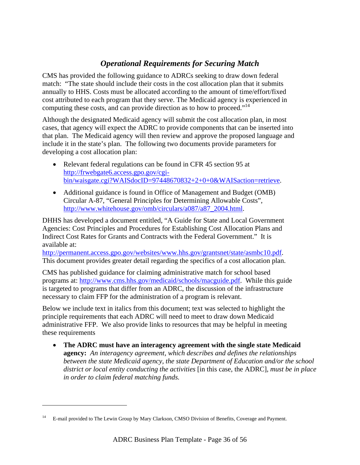# *Operational Requirements for Securing Match*

CMS has provided the following guidance to ADRCs seeking to draw down federal match: "The state should include their costs in the cost allocation plan that it submits annually to HHS. Costs must be allocated according to the amount of time/effort/fixed cost attributed to each program that they serve. The Medicaid agency is experienced in computing these costs, and can provide direction as to how to proceed."<sup>14</sup>

Although the designated Medicaid agency will submit the cost allocation plan, in most cases, that agency will expect the ADRC to provide components that can be inserted into that plan. The Medicaid agency will then review and approve the proposed language and include it in the state's plan. The following two documents provide parameters for developing a cost allocation plan:

- Relevant federal regulations can be found in CFR 45 section 95 at http://frwebgate6.access.gpo.gov/cgibin/waisgate.cgi?WAISdocID=97448670832+2+0+0&WAISaction=retrieve.
- Additional guidance is found in Office of Management and Budget (OMB) Circular A-87, "General Principles for Determining Allowable Costs", http://www.whitehouse.gov/omb/circulars/a087/a87\_2004.html.

DHHS has developed a document entitled, "A Guide for State and Local Government Agencies: Cost Principles and Procedures for Establishing Cost Allocation Plans and Indirect Cost Rates for Grants and Contracts with the Federal Government." It is available at:

http://permanent.access.gpo.gov/websites/www.hhs.gov/grantsnet/state/asmbc10.pdf. This document provides greater detail regarding the specifics of a cost allocation plan.

CMS has published guidance for claiming administrative match for school based programs at: http://www.cms.hhs.gov/medicaid/schools/macguide.pdf. While this guide is targeted to programs that differ from an ADRC, the discussion of the infrastructure necessary to claim FFP for the administration of a program is relevant.

Below we include text in italics from this document; text was selected to highlight the principle requirements that each ADRC will need to meet to draw down Medicaid administrative FFP. We also provide links to resources that may be helpful in meeting these requirements

• **The ADRC must have an interagency agreement with the single state Medicaid agency:** *An interagency agreement, which describes and defines the relationships between the state Medicaid agency, the state Department of Education and/or the school district or local entity conducting the activities* [in this case, the ADRC]*, must be in place in order to claim federal matching funds.* 

1

<sup>14</sup> E-mail provided to The Lewin Group by Mary Clarkson, CMSO Division of Benefits, Coverage and Payment.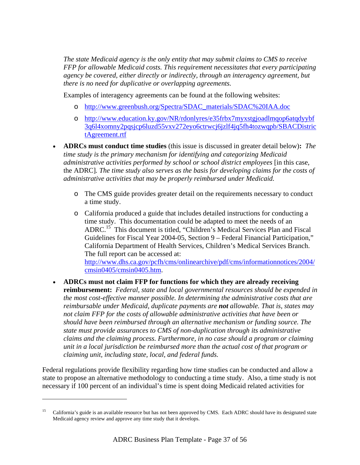*The state Medicaid agency is the only entity that may submit claims to CMS to receive FFP for allowable Medicaid costs. This requirement necessitates that every participating agency be covered, either directly or indirectly, through an interagency agreement, but there is no need for duplicative or overlapping agreements.* 

Examples of interagency agreements can be found at the following websites:

- o http://www.greenbush.org/Spectra/SDAC\_materials/SDAC%20IAA.doc
- o http://www.education.ky.gov/NR/rdonlyres/e35frbx7myxstgjoadlmqop6atqdyybf 3q6l4xomny2pqsjcp6luzd55vxv272eyo6ctrwcj6jzlf4jq5fh4tozwqpb/SBACDistric tAgreement.rtf
- **ADRCs must conduct time studies** (this issue is discussed in greater detail below)**:** *The time study is the primary mechanism for identifying and categorizing Medicaid administrative activities performed by school or school district employees* [in this case, the ADRC]*. The time study also serves as the basis for developing claims for the costs of administrative activities that may be properly reimbursed under Medicaid.* 
	- o The CMS guide provides greater detail on the requirements necessary to conduct a time study.
	- o California produced a guide that includes detailed instructions for conducting a time study. This documentation could be adapted to meet the needs of an ADRC.15 This document is titled, "Children's Medical Services Plan and Fiscal Guidelines for Fiscal Year 2004-05, Section 9 – Federal Financial Participation," California Department of Health Services, Children's Medical Services Branch. The full report can be accessed at: http://www.dhs.ca.gov/pcfh/cms/onlinearchive/pdf/cms/informationnotices/2004/ cmsin0405/cmsin0405.htm.
- **ADRCs must not claim FFP for functions for which they are already receiving reimbursement:** *Federal, state and local governmental resources should be expended in the most cost-effective manner possible. In determining the administrative costs that are reimbursable under Medicaid, duplicate payments are not allowable. That is, states may not claim FFP for the costs of allowable administrative activities that have been or should have been reimbursed through an alternative mechanism or funding source. The state must provide assurances to CMS of non-duplication through its administrative claims and the claiming process. Furthermore, in no case should a program or claiming unit in a local jurisdiction be reimbursed more than the actual cost of that program or claiming unit, including state, local, and federal funds.*

Federal regulations provide flexibility regarding how time studies can be conducted and allow a state to propose an alternative methodology to conducting a time study. Also, a time study is not necessary if 100 percent of an individual's time is spent doing Medicaid related activities for

 $\overline{\phantom{a}}$ 

<sup>&</sup>lt;sup>15</sup> California's guide is an available resource but has not been approved by CMS. Each ADRC should have its designated state Medicaid agency review and approve any time study that it develops.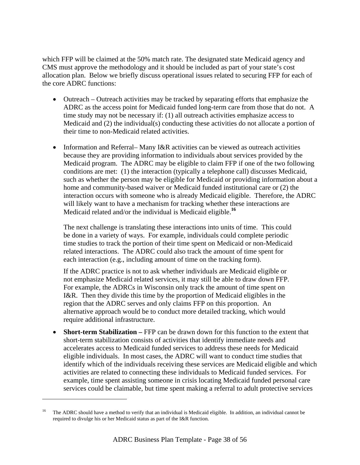which FFP will be claimed at the 50% match rate. The designated state Medicaid agency and CMS must approve the methodology and it should be included as part of your state's cost allocation plan. Below we briefly discuss operational issues related to securing FFP for each of the core ADRC functions:

- Outreach Outreach activities may be tracked by separating efforts that emphasize the ADRC as the access point for Medicaid funded long-term care from those that do not. A time study may not be necessary if: (1) all outreach activities emphasize access to Medicaid and (2) the individual(s) conducting these activities do not allocate a portion of their time to non-Medicaid related activities.
- Information and Referral– Many I&R activities can be viewed as outreach activities because they are providing information to individuals about services provided by the Medicaid program. The ADRC may be eligible to claim FFP if one of the two following conditions are met: (1) the interaction (typically a telephone call) discusses Medicaid, such as whether the person may be eligible for Medicaid or providing information about a home and community-based waiver or Medicaid funded institutional care or (2) the interaction occurs with someone who is already Medicaid eligible. Therefore, the ADRC will likely want to have a mechanism for tracking whether these interactions are Medicaid related and/or the individual is Medicaid eligible.**<sup>16</sup>**

The next challenge is translating these interactions into units of time. This could be done in a variety of ways. For example, individuals could complete periodic time studies to track the portion of their time spent on Medicaid or non-Medicaid related interactions. The ADRC could also track the amount of time spent for each interaction (e.g., including amount of time on the tracking form).

If the ADRC practice is not to ask whether individuals are Medicaid eligible or not emphasize Medicaid related services, it may still be able to draw down FFP. For example, the ADRCs in Wisconsin only track the amount of time spent on I&R. Then they divide this time by the proportion of Medicaid eligibles in the region that the ADRC serves and only claims FFP on this proportion. An alternative approach would be to conduct more detailed tracking, which would require additional infrastructure.

• **Short-term Stabilization** – FFP can be drawn down for this function to the extent that short-term stabilization consists of activities that identify immediate needs and accelerates access to Medicaid funded services to address these needs for Medicaid eligible individuals. In most cases, the ADRC will want to conduct time studies that identify which of the individuals receiving these services are Medicaid eligible and which activities are related to connecting these individuals to Medicaid funded services. For example, time spent assisting someone in crisis locating Medicaid funded personal care services could be claimable, but time spent making a referral to adult protective services

1

<sup>16</sup> The ADRC should have a method to verify that an individual is Medicaid eligible. In addition, an individual cannot be required to divulge his or her Medicaid status as part of the I&R function.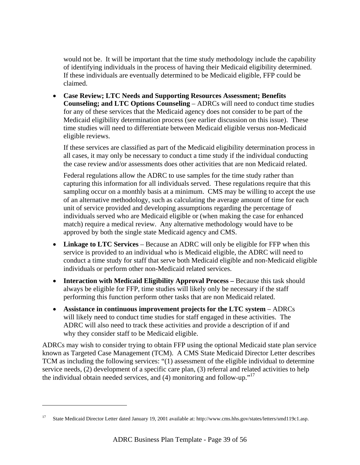would not be. It will be important that the time study methodology include the capability of identifying individuals in the process of having their Medicaid eligibility determined. If these individuals are eventually determined to be Medicaid eligible, FFP could be claimed.

• **Case Review; LTC Needs and Supporting Resources Assessment; Benefits Counseling; and LTC Options Counseling** – ADRCs will need to conduct time studies for any of these services that the Medicaid agency does not consider to be part of the Medicaid eligibility determination process (see earlier discussion on this issue). These time studies will need to differentiate between Medicaid eligible versus non-Medicaid eligible reviews.

If these services are classified as part of the Medicaid eligibility determination process in all cases, it may only be necessary to conduct a time study if the individual conducting the case review and/or assessments does other activities that are non Medicaid related.

Federal regulations allow the ADRC to use samples for the time study rather than capturing this information for all individuals served. These regulations require that this sampling occur on a monthly basis at a minimum. CMS may be willing to accept the use of an alternative methodology, such as calculating the average amount of time for each unit of service provided and developing assumptions regarding the percentage of individuals served who are Medicaid eligible or (when making the case for enhanced match) require a medical review. Any alternative methodology would have to be approved by both the single state Medicaid agency and CMS.

- **Linkage to LTC Services** Because an ADRC will only be eligible for FFP when this service is provided to an individual who is Medicaid eligible, the ADRC will need to conduct a time study for staff that serve both Medicaid eligible and non-Medicaid eligible individuals or perform other non-Medicaid related services.
- **Interaction with Medicaid Eligibility Approval Process** Because this task should always be eligible for FFP, time studies will likely only be necessary if the staff performing this function perform other tasks that are non Medicaid related.
- **Assistance in continuous improvement projects for the LTC system** ADRCs will likely need to conduct time studies for staff engaged in these activities. The ADRC will also need to track these activities and provide a description of if and why they consider staff to be Medicaid eligible.

ADRCs may wish to consider trying to obtain FFP using the optional Medicaid state plan service known as Targeted Case Management (TCM). A CMS State Medicaid Director Letter describes TCM as including the following services: "(1) assessment of the eligible individual to determine service needs, (2) development of a specific care plan, (3) referral and related activities to help the individual obtain needed services, and  $(4)$  monitoring and follow-up."<sup>17</sup>

1

<sup>17</sup> State Medicaid Director Letter dated January 19, 2001 available at: http://www.cms.hhs.gov/states/letters/smd119c1.asp.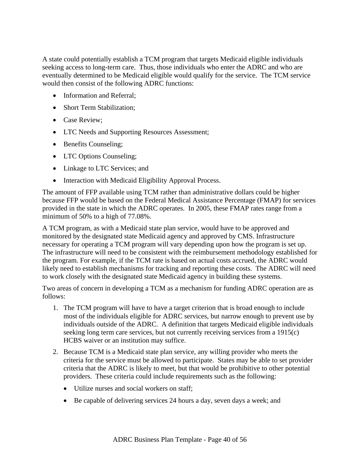A state could potentially establish a TCM program that targets Medicaid eligible individuals seeking access to long-term care. Thus, those individuals who enter the ADRC and who are eventually determined to be Medicaid eligible would qualify for the service. The TCM service would then consist of the following ADRC functions:

- Information and Referral;
- Short Term Stabilization:
- Case Review;
- LTC Needs and Supporting Resources Assessment;
- Benefits Counseling:
- LTC Options Counseling;
- Linkage to LTC Services; and
- Interaction with Medicaid Eligibility Approval Process.

The amount of FFP available using TCM rather than administrative dollars could be higher because FFP would be based on the Federal Medical Assistance Percentage (FMAP) for services provided in the state in which the ADRC operates. In 2005, these FMAP rates range from a minimum of 50% to a high of 77.08%.

A TCM program, as with a Medicaid state plan service, would have to be approved and monitored by the designated state Medicaid agency and approved by CMS. Infrastructure necessary for operating a TCM program will vary depending upon how the program is set up. The infrastructure will need to be consistent with the reimbursement methodology established for the program. For example, if the TCM rate is based on actual costs accrued, the ADRC would likely need to establish mechanisms for tracking and reporting these costs. The ADRC will need to work closely with the designated state Medicaid agency in building these systems.

Two areas of concern in developing a TCM as a mechanism for funding ADRC operation are as follows:

- 1. The TCM program will have to have a target criterion that is broad enough to include most of the individuals eligible for ADRC services, but narrow enough to prevent use by individuals outside of the ADRC. A definition that targets Medicaid eligible individuals seeking long term care services, but not currently receiving services from a 1915(c) HCBS waiver or an institution may suffice.
- 2. Because TCM is a Medicaid state plan service, any willing provider who meets the criteria for the service must be allowed to participate. States may be able to set provider criteria that the ADRC is likely to meet, but that would be prohibitive to other potential providers. These criteria could include requirements such as the following:
	- Utilize nurses and social workers on staff;
	- Be capable of delivering services 24 hours a day, seven days a week; and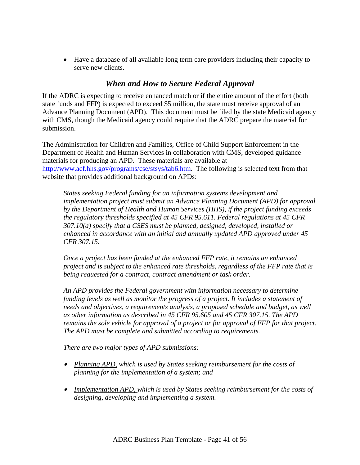• Have a database of all available long term care providers including their capacity to serve new clients.

### *When and How to Secure Federal Approval*

If the ADRC is expecting to receive enhanced match or if the entire amount of the effort (both state funds and FFP) is expected to exceed \$5 million, the state must receive approval of an Advance Planning Document (APD). This document must be filed by the state Medicaid agency with CMS, though the Medicaid agency could require that the ADRC prepare the material for submission.

The Administration for Children and Families, Office of Child Support Enforcement in the Department of Health and Human Services in collaboration with CMS, developed guidance materials for producing an APD. These materials are available at http://www.acf.hhs.gov/programs/cse/stsys/tab6.htm. The following is selected text from that website that provides additional background on APDs:

*States seeking Federal funding for an information systems development and implementation project must submit an Advance Planning Document (APD) for approval by the Department of Health and Human Services (HHS), if the project funding exceeds the regulatory thresholds specified at 45 CFR 95.611. Federal regulations at 45 CFR 307.10(a) specify that a CSES must be planned, designed, developed, installed or enhanced in accordance with an initial and annually updated APD approved under 45 CFR 307.15.* 

*Once a project has been funded at the enhanced FFP rate, it remains an enhanced project and is subject to the enhanced rate thresholds, regardless of the FFP rate that is being requested for a contract, contract amendment or task order.* 

*An APD provides the Federal government with information necessary to determine funding levels as well as monitor the progress of a project. It includes a statement of needs and objectives, a requirements analysis, a proposed schedule and budget, as well as other information as described in 45 CFR 95.605 and 45 CFR 307.15. The APD remains the sole vehicle for approval of a project or for approval of FFP for that project. The APD must be complete and submitted according to requirements.* 

*There are two major types of APD submissions:* 

- • *Planning APD, which is used by States seeking reimbursement for the costs of planning for the implementation of a system; and*
- *Implementation APD, which is used by States seeking reimbursement for the costs of designing, developing and implementing a system.*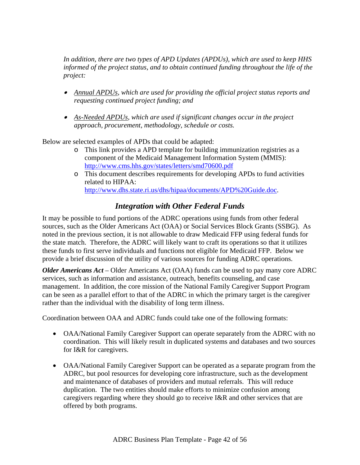*In addition, there are two types of APD Updates (APDUs), which are used to keep HHS informed of the project status, and to obtain continued funding throughout the life of the project:* 

- *Annual APDUs, which are used for providing the official project status reports and requesting continued project funding; and*
- • *As-Needed APDUs, which are used if significant changes occur in the project approach, procurement, methodology, schedule or costs.*

Below are selected examples of APDs that could be adapted:

- o This link provides a APD template for building immunization registries as a component of the Medicaid Management Information System (MMIS): http://www.cms.hhs.gov/states/letters/smd70600.pdf
- o This document describes requirements for developing APDs to fund activities related to HIPAA: http://www.dhs.state.ri.us/dhs/hipaa/documents/APD%20Guide.doc.

### *Integration with Other Federal Funds*

It may be possible to fund portions of the ADRC operations using funds from other federal sources, such as the Older Americans Act (OAA) or Social Services Block Grants (SSBG). As noted in the previous section, it is not allowable to draw Medicaid FFP using federal funds for the state match. Therefore, the ADRC will likely want to craft its operations so that it utilizes these funds to first serve individuals and functions not eligible for Medicaid FFP. Below we provide a brief discussion of the utility of various sources for funding ADRC operations.

*Older Americans Act* – Older Americans Act (OAA) funds can be used to pay many core ADRC services, such as information and assistance, outreach, benefits counseling, and case management. In addition, the core mission of the National Family Caregiver Support Program can be seen as a parallel effort to that of the ADRC in which the primary target is the caregiver rather than the individual with the disability of long term illness.

Coordination between OAA and ADRC funds could take one of the following formats:

- OAA/National Family Caregiver Support can operate separately from the ADRC with no coordination. This will likely result in duplicated systems and databases and two sources for I&R for caregivers.
- OAA/National Family Caregiver Support can be operated as a separate program from the ADRC, but pool resources for developing core infrastructure, such as the development and maintenance of databases of providers and mutual referrals. This will reduce duplication. The two entities should make efforts to minimize confusion among caregivers regarding where they should go to receive I&R and other services that are offered by both programs.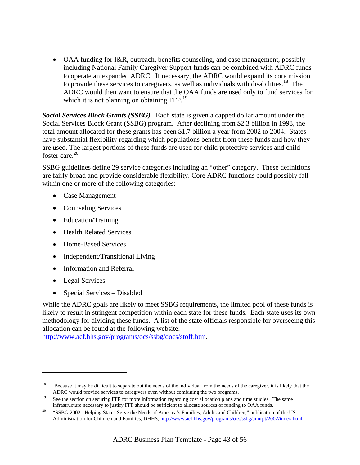• OAA funding for I&R, outreach, benefits counseling, and case management, possibly including National Family Caregiver Support funds can be combined with ADRC funds to operate an expanded ADRC. If necessary, the ADRC would expand its core mission to provide these services to caregivers, as well as individuals with disabilities.<sup>18</sup> The ADRC would then want to ensure that the OAA funds are used only to fund services for which it is not planning on obtaining FFP.<sup>19</sup>

*Social Services Block Grants (SSBG).* Each state is given a capped dollar amount under the Social Services Block Grant (SSBG) program. After declining from \$2.3 billion in 1998, the total amount allocated for these grants has been \$1.7 billion a year from 2002 to 2004. States have substantial flexibility regarding which populations benefit from these funds and how they are used. The largest portions of these funds are used for child protective services and child foster care. $20$ 

SSBG guidelines define 29 service categories including an "other" category. These definitions are fairly broad and provide considerable flexibility. Core ADRC functions could possibly fall within one or more of the following categories:

- Case Management
- Counseling Services
- Education/Training
- Health Related Services
- Home-Based Services
- Independent/Transitional Living
- Information and Referral
- Legal Services

1

• Special Services – Disabled

While the ADRC goals are likely to meet SSBG requirements, the limited pool of these funds is likely to result in stringent competition within each state for these funds. Each state uses its own methodology for dividing these funds. A list of the state officials responsible for overseeing this allocation can be found at the following website:

http://www.acf.hhs.gov/programs/ocs/ssbg/docs/stoff.htm.

<sup>&</sup>lt;sup>18</sup> Because it may be difficult to separate out the needs of the individual from the needs of the caregiver, it is likely that the

ADRC would provide services to caregivers even without combining the two programs.<br><sup>19</sup> See the section on securing FFP for more information regarding cost allocation plans and time studies. The same

infrastructure necessary to justify FFP should be sufficient to allocate sources of funding to OAA funds.<br><sup>20</sup> "SSBG 2002: Helping States Serve the Needs of America's Families, Adults and Children," publication of the US Administration for Children and Families, DHHS, http://www.acf.hhs.gov/programs/ocs/ssbg/annrpt/2002/index.html.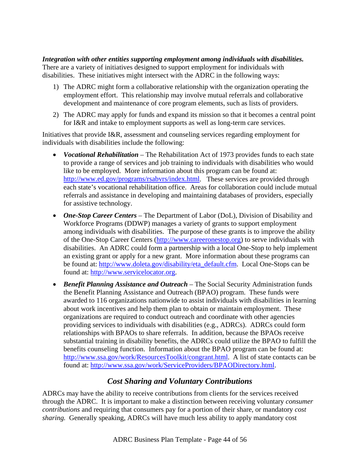*Integration with other entities supporting employment among individuals with disabilities.*  There are a variety of initiatives designed to support employment for individuals with disabilities. These initiatives might intersect with the ADRC in the following ways:

- 1) The ADRC might form a collaborative relationship with the organization operating the employment effort. This relationship may involve mutual referrals and collaborative development and maintenance of core program elements, such as lists of providers.
- 2) The ADRC may apply for funds and expand its mission so that it becomes a central point for I&R and intake to employment supports as well as long-term care services.

Initiatives that provide I&R, assessment and counseling services regarding employment for individuals with disabilities include the following:

- *Vocational Rehabilitation* The Rehabilitation Act of 1973 provides funds to each state to provide a range of services and job training to individuals with disabilities who would like to be employed. More information about this program can be found at: http://www.ed.gov/programs/rsabvrs/index.html. These services are provided through each state's vocational rehabilitation office. Areas for collaboration could include mutual referrals and assistance in developing and maintaining databases of providers, especially for assistive technology.
- *One-Stop Career Centers* The Department of Labor (DoL), Division of Disability and Workforce Programs (DDWP) manages a variety of grants to support employment among individuals with disabilities. The purpose of these grants is to improve the ability of the One-Stop Career Centers (http://www.careeronestop.org) to serve individuals with disabilities. An ADRC could form a partnership with a local One-Stop to help implement an existing grant or apply for a new grant. More information about these programs can be found at: http://www.doleta.gov/disability/eta\_default.cfm. Local One-Stops can be found at: http://www.servicelocator.org.
- *Benefit Planning Assistance and Outreach* The Social Security Administration funds the Benefit Planning Assistance and Outreach (BPAO) program. These funds were awarded to 116 organizations nationwide to assist individuals with disabilities in learning about work incentives and help them plan to obtain or maintain employment. These organizations are required to conduct outreach and coordinate with other agencies providing services to individuals with disabilities (e.g., ADRCs). ADRCs could form relationships with BPAOs to share referrals. In addition, because the BPAOs receive substantial training in disability benefits, the ADRCs could utilize the BPAO to fulfill the benefits counseling function. Information about the BPAO program can be found at: http://www.ssa.gov/work/ResourcesToolkit/congrant.html. A list of state contacts can be found at: http://www.ssa.gov/work/ServiceProviders/BPAODirectory.html.

### *Cost Sharing and Voluntary Contributions*

ADRCs may have the ability to receive contributions from clients for the services received through the ADRC. It is important to make a distinction between receiving voluntary *consumer contributions* and requiring that consumers pay for a portion of their share, or mandatory *cost sharing.* Generally speaking, ADRCs will have much less ability to apply mandatory cost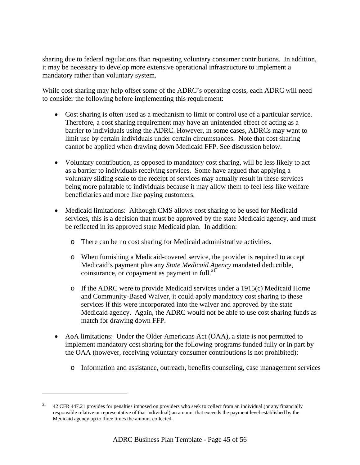sharing due to federal regulations than requesting voluntary consumer contributions. In addition, it may be necessary to develop more extensive operational infrastructure to implement a mandatory rather than voluntary system.

While cost sharing may help offset some of the ADRC's operating costs, each ADRC will need to consider the following before implementing this requirement:

- Cost sharing is often used as a mechanism to limit or control use of a particular service. Therefore, a cost sharing requirement may have an unintended effect of acting as a barrier to individuals using the ADRC. However, in some cases, ADRCs may want to limit use by certain individuals under certain circumstances. Note that cost sharing cannot be applied when drawing down Medicaid FFP. See discussion below.
- Voluntary contribution, as opposed to mandatory cost sharing, will be less likely to act as a barrier to individuals receiving services. Some have argued that applying a voluntary sliding scale to the receipt of services may actually result in these services being more palatable to individuals because it may allow them to feel less like welfare beneficiaries and more like paying customers.
- Medicaid limitations: Although CMS allows cost sharing to be used for Medicaid services, this is a decision that must be approved by the state Medicaid agency, and must be reflected in its approved state Medicaid plan. In addition:
	- o There can be no cost sharing for Medicaid administrative activities.
	- o When furnishing a Medicaid-covered service, the provider is required to accept Medicaid's payment plus any *State Medicaid Agency* mandated deductible, coinsurance, or copayment as payment in full. $^{21}$
	- o If the ADRC were to provide Medicaid services under a 1915(c) Medicaid Home and Community-Based Waiver, it could apply mandatory cost sharing to these services if this were incorporated into the waiver and approved by the state Medicaid agency. Again, the ADRC would not be able to use cost sharing funds as match for drawing down FFP.
- AoA limitations: Under the Older Americans Act (OAA), a state is not permitted to implement mandatory cost sharing for the following programs funded fully or in part by the OAA (however, receiving voluntary consumer contributions is not prohibited):
	- o Information and assistance, outreach, benefits counseling, case management services

 $\overline{a}$ 

<sup>&</sup>lt;sup>21</sup> 42 CFR 447.21 provides for penalties imposed on providers who seek to collect from an individual (or any financially responsible relative or representative of that individual) an amount that exceeds the payment level established by the Medicaid agency up to three times the amount collected.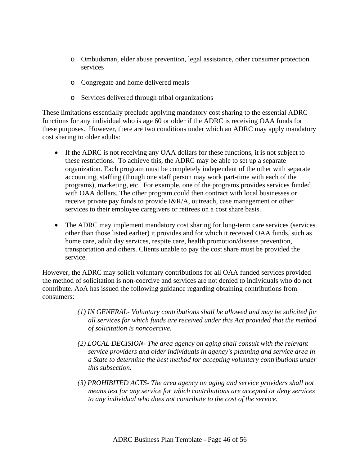- o Ombudsman, elder abuse prevention, legal assistance, other consumer protection services
- o Congregate and home delivered meals
- o Services delivered through tribal organizations

These limitations essentially preclude applying mandatory cost sharing to the essential ADRC functions for any individual who is age 60 or older if the ADRC is receiving OAA funds for these purposes. However, there are two conditions under which an ADRC may apply mandatory cost sharing to older adults:

- If the ADRC is not receiving any OAA dollars for these functions, it is not subject to these restrictions. To achieve this, the ADRC may be able to set up a separate organization. Each program must be completely independent of the other with separate accounting, staffing (though one staff person may work part-time with each of the programs), marketing, etc. For example, one of the programs provides services funded with OAA dollars. The other program could then contract with local businesses or receive private pay funds to provide I&R/A, outreach, case management or other services to their employee caregivers or retirees on a cost share basis.
- The ADRC may implement mandatory cost sharing for long-term care services (services other than those listed earlier) it provides and for which it received OAA funds, such as home care, adult day services, respite care, health promotion/disease prevention, transportation and others. Clients unable to pay the cost share must be provided the service.

However, the ADRC may solicit voluntary contributions for all OAA funded services provided the method of solicitation is non-coercive and services are not denied to individuals who do not contribute. AoA has issued the following guidance regarding obtaining contributions from consumers:

- *(1) IN GENERAL- Voluntary contributions shall be allowed and may be solicited for all services for which funds are received under this Act provided that the method of solicitation is noncoercive.*
- *(2) LOCAL DECISION- The area agency on aging shall consult with the relevant service providers and older individuals in agency's planning and service area in a State to determine the best method for accepting voluntary contributions under this subsection.*
- *(3) PROHIBITED ACTS- The area agency on aging and service providers shall not means test for any service for which contributions are accepted or deny services to any individual who does not contribute to the cost of the service.*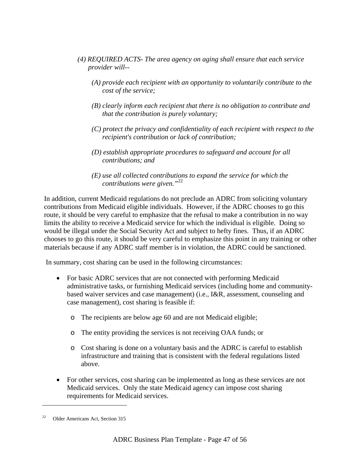- *(4) REQUIRED ACTS- The area agency on aging shall ensure that each service provider will--* 
	- *(A) provide each recipient with an opportunity to voluntarily contribute to the cost of the service;*
	- *(B) clearly inform each recipient that there is no obligation to contribute and that the contribution is purely voluntary;*
	- *(C) protect the privacy and confidentiality of each recipient with respect to the recipient's contribution or lack of contribution;*
	- *(D) establish appropriate procedures to safeguard and account for all contributions; and*
	- *(E) use all collected contributions to expand the service for which the contributions were given."*<sup>22</sup>

In addition, current Medicaid regulations do not preclude an ADRC from soliciting voluntary contributions from Medicaid eligible individuals. However, if the ADRC chooses to go this route, it should be very careful to emphasize that the refusal to make a contribution in no way limits the ability to receive a Medicaid service for which the individual is eligible. Doing so would be illegal under the Social Security Act and subject to hefty fines. Thus, if an ADRC chooses to go this route, it should be very careful to emphasize this point in any training or other materials because if any ADRC staff member is in violation, the ADRC could be sanctioned.

In summary, cost sharing can be used in the following circumstances:

- For basic ADRC services that are not connected with performing Medicaid administrative tasks, or furnishing Medicaid services (including home and communitybased waiver services and case management) (i.e., I&R, assessment, counseling and case management), cost sharing is feasible if:
	- o The recipients are below age 60 and are not Medicaid eligible;
	- o The entity providing the services is not receiving OAA funds; or
	- o Cost sharing is done on a voluntary basis and the ADRC is careful to establish infrastructure and training that is consistent with the federal regulations listed above.
- For other services, cost sharing can be implemented as long as these services are not Medicaid services. Only the state Medicaid agency can impose cost sharing requirements for Medicaid services.

1

<sup>22</sup> Older Americans Act, Section 315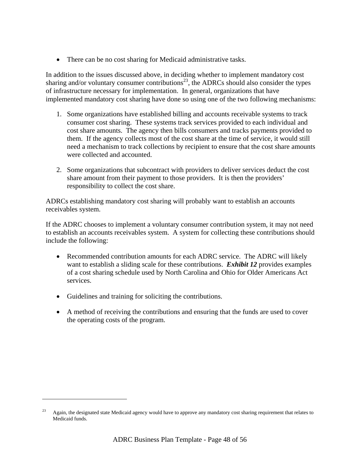• There can be no cost sharing for Medicaid administrative tasks.

In addition to the issues discussed above, in deciding whether to implement mandatory cost sharing and/or voluntary consumer contributions<sup>23</sup>, the ADRCs should also consider the types of infrastructure necessary for implementation. In general, organizations that have implemented mandatory cost sharing have done so using one of the two following mechanisms:

- 1. Some organizations have established billing and accounts receivable systems to track consumer cost sharing. These systems track services provided to each individual and cost share amounts. The agency then bills consumers and tracks payments provided to them. If the agency collects most of the cost share at the time of service, it would still need a mechanism to track collections by recipient to ensure that the cost share amounts were collected and accounted.
- 2. Some organizations that subcontract with providers to deliver services deduct the cost share amount from their payment to those providers. It is then the providers' responsibility to collect the cost share.

ADRCs establishing mandatory cost sharing will probably want to establish an accounts receivables system.

If the ADRC chooses to implement a voluntary consumer contribution system, it may not need to establish an accounts receivables system. A system for collecting these contributions should include the following:

- Recommended contribution amounts for each ADRC service. The ADRC will likely want to establish a sliding scale for these contributions. **Exhibit 12** provides examples of a cost sharing schedule used by North Carolina and Ohio for Older Americans Act services.
- Guidelines and training for soliciting the contributions.

 $\overline{\phantom{a}}$ 

• A method of receiving the contributions and ensuring that the funds are used to cover the operating costs of the program.

<sup>23</sup> Again, the designated state Medicaid agency would have to approve any mandatory cost sharing requirement that relates to Medicaid funds.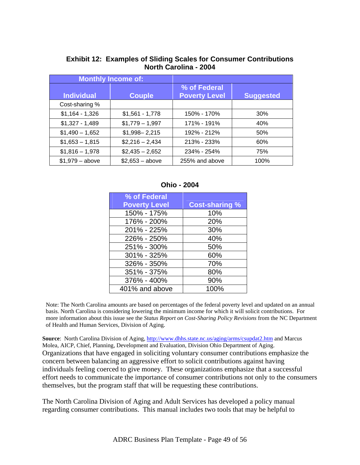|                   | <b>Monthly Income of:</b> |                                      |                  |
|-------------------|---------------------------|--------------------------------------|------------------|
| <b>Individual</b> | <b>Couple</b>             | % of Federal<br><b>Poverty Level</b> | <b>Suggested</b> |
| Cost-sharing %    |                           |                                      |                  |
| $$1,164 - 1,326$  | $$1,561 - 1,778$          | 150% - 170%                          | 30%              |
| $$1,327 - 1,489$  | $$1,779-1,997$            | 171% - 191%                          | 40%              |
| $$1,490 - 1,652$  | $$1,998 - 2,215$          | 192% - 212%                          | 50%              |
| $$1,653 - 1,815$  | $$2,216 - 2,434$          | 213% - 233%                          | 60%              |
| $$1,816 - 1,978$  | $$2,435 - 2,652$          | 234% - 254%                          | 75%              |
| $$1,979 - above$  | $$2,653 - above$          | 255% and above                       | 100%             |

### **Exhibit 12: Examples of Sliding Scales for Consumer Contributions North Carolina - 2004**

**Ohio - 2004** 

| % of Federal         |                       |
|----------------------|-----------------------|
| <b>Poverty Level</b> | <b>Cost-sharing %</b> |
| 150% - 175%          | 10%                   |
| 176% - 200%          | 20%                   |
| 201% - 225%          | 30%                   |
| 226% - 250%          | 40%                   |
| 251% - 300%          | 50%                   |
| 301% - 325%          | 60%                   |
| 326% - 350%          | 70%                   |
| 351% - 375%          | 80%                   |
| 376% - 400%          | 90%                   |
| 401% and above       | 100%                  |

Note: The North Carolina amounts are based on percentages of the federal poverty level and updated on an annual basis. North Carolina is considering lowering the minimum income for which it will solicit contributions. For more information about this issue see the *Status Report on Cost-Sharing Policy Revisions* from the NC Department of Health and Human Services, Division of Aging.

Source: North Carolina Division of Aging, http://www.dhhs.state.nc.us/aging/arms/csupdat2.htm and Marcus Molea, AICP, Chief, Planning, Development and Evaluation, Division Ohio Department of Aging. Organizations that have engaged in soliciting voluntary consumer contributions emphasize the concern between balancing an aggressive effort to solicit contributions against having individuals feeling coerced to give money. These organizations emphasize that a successful effort needs to communicate the importance of consumer contributions not only to the consumers themselves, but the program staff that will be requesting these contributions.

The North Carolina Division of Aging and Adult Services has developed a policy manual regarding consumer contributions. This manual includes two tools that may be helpful to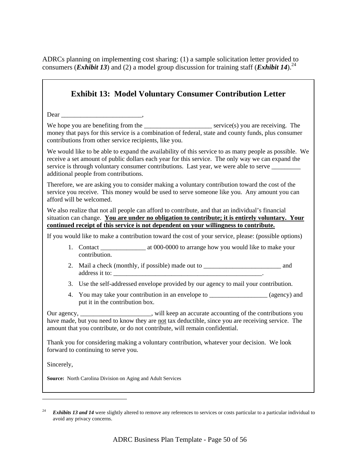ADRCs planning on implementing cost sharing: (1) a sample solicitation letter provided to consumers (*Exhibit 13*) and (2) a model group discussion for training staff (*Exhibit 14*).<sup>24</sup>

| <b>Exhibit 13: Model Voluntary Consumer Contribution Letter</b>                                                                                                                                                                                                                                                                                       |
|-------------------------------------------------------------------------------------------------------------------------------------------------------------------------------------------------------------------------------------------------------------------------------------------------------------------------------------------------------|
|                                                                                                                                                                                                                                                                                                                                                       |
| We hope you are benefiting from the ______________________________ service(s) you are receiving. The<br>money that pays for this service is a combination of federal, state and county funds, plus consumer<br>contributions from other service recipients, like you.                                                                                 |
| We would like to be able to expand the availability of this service to as many people as possible. We<br>receive a set amount of public dollars each year for this service. The only way we can expand the<br>service is through voluntary consumer contributions. Last year, we were able to serve ________<br>additional people from contributions. |
| Therefore, we are asking you to consider making a voluntary contribution toward the cost of the<br>service you receive. This money would be used to serve someone like you. Any amount you can<br>afford will be welcomed.                                                                                                                            |
| We also realize that not all people can afford to contribute, and that an individual's financial<br>situation can change. You are under no obligation to contribute; it is entirely voluntary. Your<br>continued receipt of this service is not dependent on your willingness to contribute.                                                          |
| If you would like to make a contribution toward the cost of your service, please: (possible options)                                                                                                                                                                                                                                                  |
| contribution.                                                                                                                                                                                                                                                                                                                                         |
|                                                                                                                                                                                                                                                                                                                                                       |
| 3. Use the self-addressed envelope provided by our agency to mail your contribution.                                                                                                                                                                                                                                                                  |
| You may take your contribution in an envelope to ___________________ (agency) and<br>4.<br>put it in the contribution box.                                                                                                                                                                                                                            |
| Our agency, ________________________, will keep an accurate accounting of the contributions you<br>have made, but you need to know they are not tax deductible, since you are receiving service. The<br>amount that you contribute, or do not contribute, will remain confidential.                                                                   |
| Thank you for considering making a voluntary contribution, whatever your decision. We look<br>forward to continuing to serve you.                                                                                                                                                                                                                     |
| Sincerely,                                                                                                                                                                                                                                                                                                                                            |
| Source: North Carolina Division on Aging and Adult Services                                                                                                                                                                                                                                                                                           |

 $\overline{\phantom{a}}$ 

<sup>&</sup>lt;sup>24</sup> *Exhibits 13 and 14* were slightly altered to remove any references to services or costs particular to a particular individual to avoid any privacy concerns.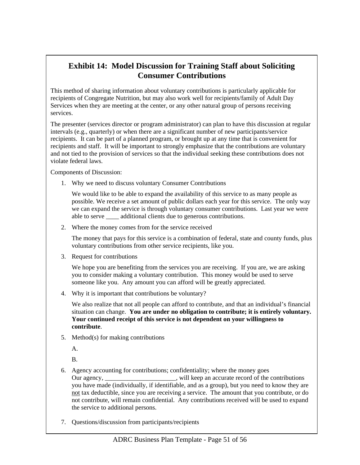# **Exhibit 14: Model Discussion for Training Staff about Soliciting Consumer Contributions**

This method of sharing information about voluntary contributions is particularly applicable for recipients of Congregate Nutrition, but may also work well for recipients/family of Adult Day Services when they are meeting at the center, or any other natural group of persons receiving services.

The presenter (services director or program administrator) can plan to have this discussion at regular intervals (e.g., quarterly) or when there are a significant number of new participants/service recipients. It can be part of a planned program, or brought up at any time that is convenient for recipients and staff. It will be important to strongly emphasize that the contributions are voluntary and not tied to the provision of services so that the individual seeking these contributions does not violate federal laws.

Components of Discussion:

1. Why we need to discuss voluntary Consumer Contributions

We would like to be able to expand the availability of this service to as many people as possible. We receive a set amount of public dollars each year for this service. The only way we can expand the service is through voluntary consumer contributions. Last year we were able to serve \_\_\_\_ additional clients due to generous contributions.

2. Where the money comes from for the service received

The money that pays for this service is a combination of federal, state and county funds, plus voluntary contributions from other service recipients, like you.

3. Request for contributions

We hope you are benefiting from the services you are receiving. If you are, we are asking you to consider making a voluntary contribution. This money would be used to serve someone like you. Any amount you can afford will be greatly appreciated.

4. Why it is important that contributions be voluntary?

We also realize that not all people can afford to contribute, and that an individual's financial situation can change. **You are under no obligation to contribute; it is entirely voluntary. Your continued receipt of this service is not dependent on your willingness to contribute**.

5. Method(s) for making contributions

A.

B.

- 6. Agency accounting for contributions; confidentiality; where the money goes Our agency, \_\_\_\_\_\_\_\_\_\_\_\_\_\_\_\_\_\_\_\_\_\_, will keep an accurate record of the contributions you have made (individually, if identifiable, and as a group), but you need to know they are not tax deductible, since you are receiving a service. The amount that you contribute, or do not contribute, will remain confidential. Any contributions received will be used to expand the service to additional persons.
- 7. Questions/discussion from participants/recipients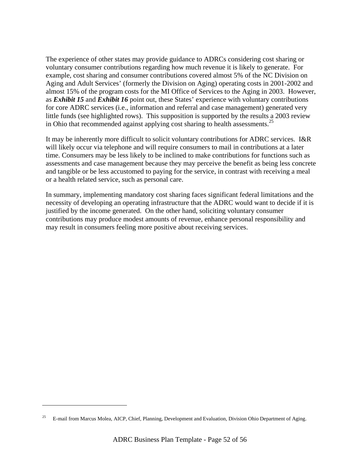The experience of other states may provide guidance to ADRCs considering cost sharing or voluntary consumer contributions regarding how much revenue it is likely to generate. For example, cost sharing and consumer contributions covered almost 5% of the NC Division on Aging and Adult Services' (formerly the Division on Aging) operating costs in 2001-2002 and almost 15% of the program costs for the MI Office of Services to the Aging in 2003. However, as *Exhibit 15* and *Exhibit 16* point out, these States' experience with voluntary contributions for core ADRC services (i.e., information and referral and case management) generated very little funds (see highlighted rows). This supposition is supported by the results a 2003 review in Ohio that recommended against applying cost sharing to health assessments.<sup>25</sup>

It may be inherently more difficult to solicit voluntary contributions for ADRC services. I&R will likely occur via telephone and will require consumers to mail in contributions at a later time. Consumers may be less likely to be inclined to make contributions for functions such as assessments and case management because they may perceive the benefit as being less concrete and tangible or be less accustomed to paying for the service, in contrast with receiving a meal or a health related service, such as personal care.

In summary, implementing mandatory cost sharing faces significant federal limitations and the necessity of developing an operating infrastructure that the ADRC would want to decide if it is justified by the income generated. On the other hand, soliciting voluntary consumer contributions may produce modest amounts of revenue, enhance personal responsibility and may result in consumers feeling more positive about receiving services.

1

<sup>25</sup> E-mail from Marcus Molea, AICP, Chief, Planning, Development and Evaluation, Division Ohio Department of Aging.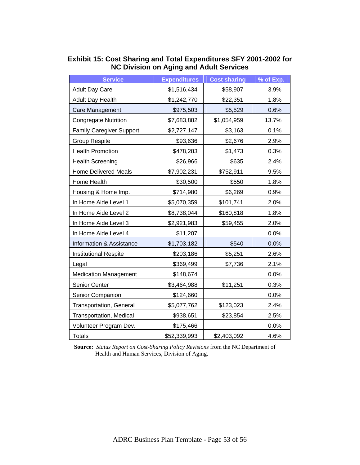| <b>Service</b>                      | <b>Expenditures</b> | <b>Cost sharing</b> | % of Exp. |
|-------------------------------------|---------------------|---------------------|-----------|
| <b>Adult Day Care</b>               | \$1,516,434         | \$58,907            | 3.9%      |
| <b>Adult Day Health</b>             | \$1,242,770         | \$22,351            | 1.8%      |
| Care Management                     | \$975,503           | \$5,529             | 0.6%      |
| <b>Congregate Nutrition</b>         | \$7,683,882         | \$1,054,959         | 13.7%     |
| <b>Family Caregiver Support</b>     | \$2,727,147         | \$3,163             | 0.1%      |
| <b>Group Respite</b>                | \$93,636            | \$2,676             | 2.9%      |
| <b>Health Promotion</b>             | \$478,283           | \$1,473             | 0.3%      |
| <b>Health Screening</b>             | \$26,966            | \$635               | 2.4%      |
| <b>Home Delivered Meals</b>         | \$7,902,231         | \$752,911           | 9.5%      |
| Home Health                         | \$30,500            | \$550               | 1.8%      |
| Housing & Home Imp.                 | \$714,980           | \$6,269             | 0.9%      |
| In Home Aide Level 1                | \$5,070,359         | \$101,741           | 2.0%      |
| In Home Aide Level 2                | \$8,738,044         | \$160,818           | 1.8%      |
| In Home Aide Level 3                | \$2,921,983         | \$59,455            | 2.0%      |
| In Home Aide Level 4                | \$11,207            |                     | 0.0%      |
| <b>Information &amp; Assistance</b> | \$1,703,182         | \$540               | 0.0%      |
| <b>Institutional Respite</b>        | \$203,186           | \$5,251             | 2.6%      |
| Legal                               | \$369,499           | \$7,736             | 2.1%      |
| <b>Medication Management</b>        | \$148,674           |                     | 0.0%      |
| Senior Center                       | \$3,464,988         | \$11,251            | 0.3%      |
| Senior Companion                    | \$124,660           |                     | 0.0%      |
| <b>Transportation, General</b>      | \$5,077,762         | \$123,023           | 2.4%      |
| Transportation, Medical             | \$938,651           | \$23,854            | 2.5%      |
| Volunteer Program Dev.              | \$175,466           |                     | 0.0%      |
| <b>Totals</b>                       | \$52,339,993        | \$2,403,092         | 4.6%      |

#### **Exhibit 15: Cost Sharing and Total Expenditures SFY 2001-2002 for NC Division on Aging and Adult Services**

**Source:** *Status Report on Cost-Sharing Policy Revisions* from the NC Department of Health and Human Services, Division of Aging.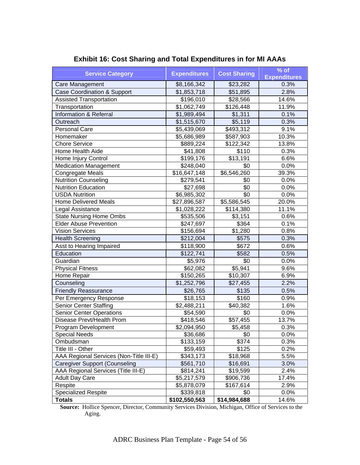| <b>Service Category</b>                 | <b>Expenditures</b> | <b>Cost Sharing</b> | $%$ of<br><b>Expenditures</b> |
|-----------------------------------------|---------------------|---------------------|-------------------------------|
| Care Management                         | \$8,166,342         | \$23,282            | 0.3%                          |
| <b>Case Coordination &amp; Support</b>  | \$1,853,718         | \$51,895            | 2.8%                          |
| <b>Assisted Transportation</b>          | \$196,010           | \$28,566            | 14.6%                         |
| Transportation                          | \$1,062,749         | \$126,448           | 11.9%                         |
| Information & Referral                  | \$1,989,494         | \$1,311             | 0.1%                          |
| Outreach                                | \$1,515,670         | \$5,119             | 0.3%                          |
| Personal Care                           | \$5,439,069         | \$493,312           | 9.1%                          |
| Homemaker                               | \$5,686,989         | \$587,903           | 10.3%                         |
| <b>Chore Service</b>                    | \$889,224           | \$122,342           | 13.8%                         |
| Home Health Aide                        | \$41,808            | \$110               | 0.3%                          |
| Home Injury Control                     | \$199,176           | \$13,191            | 6.6%                          |
| <b>Medication Management</b>            | \$248,040           | \$0                 | 0.0%                          |
| Congregate Meals                        | \$16,647,148        | \$6,546,260         | 39.3%                         |
| <b>Nutrition Counseling</b>             | \$279,541           | \$0                 | 0.0%                          |
| <b>Nutrition Education</b>              | \$27,698            | \$0                 | 0.0%                          |
| <b>USDA Nutrition</b>                   | \$6,985,302         | $\overline{30}$     | 0.0%                          |
| <b>Home Delivered Meals</b>             | \$27,896,587        | \$5,586,545         | 20.0%                         |
| Legal Assistance                        | \$1,028,222         | \$114,380           | 11.1%                         |
| <b>State Nursing Home Ombs</b>          | \$535,506           | \$3,151             | 0.6%                          |
| <b>Elder Abuse Prevention</b>           | \$247,697           | \$364               | 0.1%                          |
| <b>Vision Services</b>                  | \$156,694           | \$1,280             | 0.8%                          |
| <b>Health Screening</b>                 | \$212,004           | \$575               | 0.3%                          |
| Asst to Hearing Impaired                | \$118,900           | \$672               | 0.6%                          |
| Education                               | \$122,741           | \$582               | 0.5%                          |
| Guardian                                | \$5,976             | \$0                 | 0.0%                          |
| <b>Physical Fitness</b>                 | \$62,082            | \$5,941             | 9.6%                          |
| Home Repair                             | \$150,265           | \$10,307            | 6.9%                          |
| Counseling                              | \$1,252,796         | \$27,455            | 2.2%                          |
| <b>Friendly Reassurance</b>             | \$26,765            | \$135               | 0.5%                          |
| Per Emergency Response                  | \$18,153            | \$160               | 0.9%                          |
| <b>Senior Center Staffing</b>           | \$2,488,211         | \$40,382            | 1.6%                          |
| <b>Senior Center Operations</b>         | \$54,590            | \$0                 | 0.0%                          |
| Disease Prevt/Health Prom               | \$418,546           | \$57,455            | 13.7%                         |
| Program Development                     | \$2,094,950         | \$5,458             | 0.3%                          |
| <b>Special Needs</b>                    | \$36,686            | \$0                 | 0.0%                          |
| Ombudsman                               | \$133,159           | \$374               | 0.3%                          |
| Title III - Other                       | \$59,493            | \$125               | 0.2%                          |
| AAA Regional Services (Non-Title III-E) | \$343,173           | \$18,968            | 5.5%                          |
| <b>Caregiver Support (Counseling</b>    | \$561,710           | \$16,691            | 3.0%                          |
| AAA Regional Services (Title III-E)     | \$814,241           | \$19,599            | 2.4%                          |
| <b>Adult Day Care</b>                   | \$5,217,579         | \$906,736           | 17.4%                         |
| Respite                                 | \$5,878,079         | \$167,614           | 2.9%                          |
| <b>Specialized Respite</b>              | \$339,818           | \$0                 | 0.0%                          |
| <b>Totals</b>                           | \$102,550,563       | \$14,984,688        | 14.6%                         |

# **Exhibit 16: Cost Sharing and Total Expenditures in for MI AAAs**

**Source:** Hollice Spencer, Director, Community Services Division, Michigan, Office of Services to the Aging.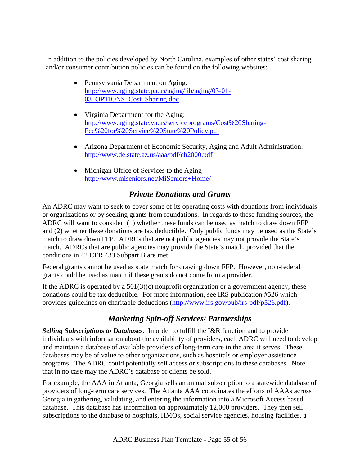In addition to the policies developed by North Carolina, examples of other states' cost sharing and/or consumer contribution policies can be found on the following websites:

- Pennsylvania Department on Aging: http://www.aging.state.pa.us/aging/lib/aging/03-01- 03\_OPTIONS\_Cost\_Sharing.doc
- Virginia Department for the Aging: http://www.aging.state.va.us/serviceprograms/Cost%20Sharing-Fee%20for%20Service%20State%20Policy.pdf
- Arizona Department of Economic Security, Aging and Adult Administration: http://www.de.state.az.us/aaa/pdf/ch2000.pdf
- Michigan Office of Services to the Aging http://www.miseniors.net/MiSeniors+Home/

# *Private Donations and Grants*

An ADRC may want to seek to cover some of its operating costs with donations from individuals or organizations or by seeking grants from foundations. In regards to these funding sources, the ADRC will want to consider: (1) whether these funds can be used as match to draw down FFP and (2) whether these donations are tax deductible. Only public funds may be used as the State's match to draw down FFP. ADRCs that are not public agencies may not provide the State's match. ADRCs that are public agencies may provide the State's match, provided that the conditions in 42 CFR 433 Subpart B are met.

Federal grants cannot be used as state match for drawing down FFP. However, non-federal grants could be used as match if these grants do not come from a provider.

If the ADRC is operated by a  $501(3)(c)$  nonprofit organization or a government agency, these donations could be tax deductible. For more information, see IRS publication #526 which provides guidelines on charitable deductions (http://www.irs.gov/pub/irs-pdf/p526.pdf).

# *Marketing Spin-off Services/ Partnerships*

*Selling Subscriptions to Databases*. In order to fulfill the I&R function and to provide individuals with information about the availability of providers, each ADRC will need to develop and maintain a database of available providers of long-term care in the area it serves. These databases may be of value to other organizations, such as hospitals or employer assistance programs. The ADRC could potentially sell access or subscriptions to these databases. Note that in no case may the ADRC's database of clients be sold.

For example, the AAA in Atlanta, Georgia sells an annual subscription to a statewide database of providers of long-term care services. The Atlanta AAA coordinates the efforts of AAAs across Georgia in gathering, validating, and entering the information into a Microsoft Access based database. This database has information on approximately 12,000 providers. They then sell subscriptions to the database to hospitals, HMOs, social service agencies, housing facilities, a